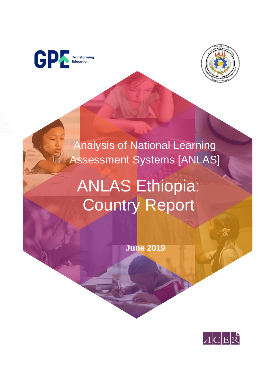



Analysis of National Learning Assessment Systems [ANLAS]

# ANLAS Ethiopia: Country Report

**June 2019** 

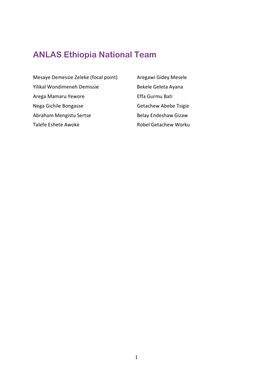# <span id="page-1-0"></span>**ANLAS Ethiopia National Team**

- Mesaye Demessie Zeleke (focal point) Aregawi Gidey Mesele Yilikal Wondimeneh Demissie Bekele Geleta Ayana Arega Mamaru Yewore **Effa Gurmu Bati** Nega Gichile Bongasse Getachew Abebe Tsigie Abraham Mengistu Sertse Belay Endeshaw Gizaw Talefe Eshete Awoke **Robel Getachew Worku** 
	-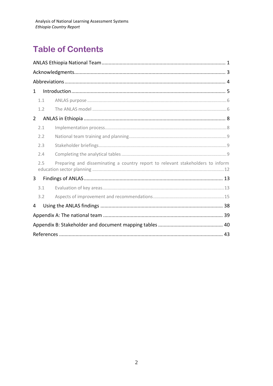# **Table of Contents**

| 1                                                                                      |
|----------------------------------------------------------------------------------------|
| 1.1                                                                                    |
| 1.2                                                                                    |
| $\overline{2}$                                                                         |
| 2.1                                                                                    |
| 2.2                                                                                    |
| 2.3                                                                                    |
| 2.4                                                                                    |
| Preparing and disseminating a country report to relevant stakeholders to inform<br>2.5 |
| 3                                                                                      |
| 3.1                                                                                    |
| 3.2                                                                                    |
| 4                                                                                      |
|                                                                                        |
|                                                                                        |
|                                                                                        |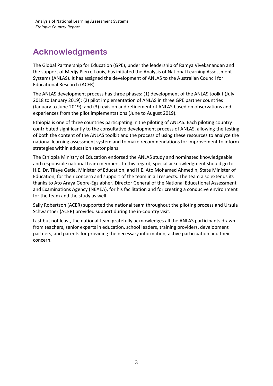# <span id="page-3-0"></span>**Acknowledgments**

The Global Partnership for Education (GPE), under the leadership of Ramya Vivekanandan and the support of Medjy Pierre-Louis, has initiated the Analysis of National Learning Assessment Systems (ANLAS). It has assigned the development of ANLAS to the Australian Council for Educational Research (ACER).

The ANLAS development process has three phases: (1) development of the ANLAS toolkit (July 2018 to January 2019); (2) pilot implementation of ANLAS in three GPE partner countries (January to June 2019); and (3) revision and refinement of ANLAS based on observations and experiences from the pilot implementations (June to August 2019).

Ethiopia is one of three countries participating in the piloting of ANLAS. Each piloting country contributed significantly to the consultative development process of ANLAS, allowing the testing of both the content of the ANLAS toolkit and the process of using these resources to analyze the national learning assessment system and to make recommendations for improvement to inform strategies within education sector plans.

The Ethiopia Ministry of Education endorsed the ANLAS study and nominated knowledgeable and responsible national team members. In this regard, special acknowledgment should go to H.E. Dr. Tilaye Getie, Minister of Education, and H.E. Ato Mohamed Ahmedin, State Minister of Education, for their concern and support of the team in all respects. The team also extends its thanks to Ato Araya Gebre-Egziabher, Director General of the National Educational Assessment and Examinations Agency (NEAEA), for his facilitation and for creating a conducive environment for the team and the study as well.

Sally Robertson (ACER) supported the national team throughout the piloting process and Ursula Schwantner (ACER) provided support during the in-country visit.

Last but not least, the national team gratefully acknowledges all the ANLAS participants drawn from teachers, senior experts in education, school leaders, training providers, development partners, and parents for providing the necessary information, active participation and their concern.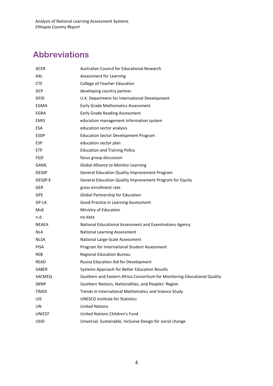# <span id="page-4-0"></span>**Abbreviations**

| <b>ACER</b>   | Australian Council for Educational Research                               |
|---------------|---------------------------------------------------------------------------|
| A4L           | Assessment for Learning                                                   |
| CTE           | College of Teacher Education                                              |
| <b>DCP</b>    | developing country partner                                                |
| <b>DFID</b>   | U.K. Department for International Development                             |
| EGMA          | <b>Early Grade Mathematics Assessment</b>                                 |
| EGRA          | Early Grade Reading Assessment                                            |
| <b>EMIS</b>   | education management information system                                   |
| <b>ESA</b>    | education sector analysis                                                 |
| <b>ESDP</b>   | <b>Education Sector Development Program</b>                               |
| <b>ESP</b>    | education sector plan                                                     |
| <b>ETP</b>    | <b>Education and Training Policy</b>                                      |
| FGD           | focus group discussion                                                    |
| <b>GAML</b>   | Global Alliance to Monitor Learning                                       |
| <b>GEQIP</b>  | General Education Quality Improvement Program                             |
| GEQIP-E       | General Education Quality Improvement Program for Equity                  |
| <b>GER</b>    | gross enrollment rate                                                     |
| <b>GPE</b>    | Global Partnership for Education                                          |
| GP-LA         | Good Practice in Learning Assessment                                      |
| MoE           | Ministry of Education                                                     |
| n.d.          | no data                                                                   |
| NEAEA         | National Educational Assessment and Examinations Agency                   |
| <b>NLA</b>    | National Learning Assessment                                              |
| NLSA          | National Large-Scale Assessment                                           |
| <b>PISA</b>   | Program for International Student Assessment                              |
| <b>REB</b>    | <b>Regional Education Bureau</b>                                          |
| READ          | Russia Education Aid for Development                                      |
| <b>SABER</b>  | Systems Approach for Better Education Results                             |
| SACMEQ        | Southern and Eastern Africa Consortium for Monitoring Educational Quality |
| <b>SNNP</b>   | Southern Nations, Nationalities, and Peoples' Region                      |
| <b>TIMSS</b>  | Trends in International Mathematics and Science Study                     |
| <b>UIS</b>    | <b>UNESCO Institute for Statistics</b>                                    |
| UN            | <b>United Nations</b>                                                     |
| <b>UNICEF</b> | United Nations Children's Fund                                            |
| <b>USID</b>   | Universal, Sustainable, Inclusive Design for social change                |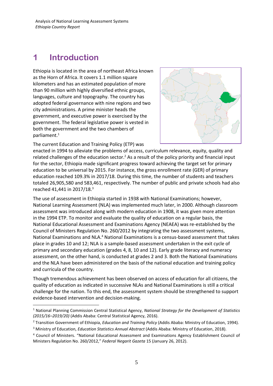# <span id="page-5-0"></span>**1 Introduction**

Ethiopia is located in the area of northeast Africa known as the Horn of Africa. It covers 1.1 million square kilometers and has an estimated population of more than 90 million with highly diversified ethnic groups, languages, culture and topography. The country has adopted federal governance with nine regions and two city administrations. A prime minister heads the government, and executive power is exercised by the government. The federal legislative power is vested in both the government and the two chambers of parliament.<sup>1</sup>



The current Education and Training Policy (ETP) was

enacted in 1994 to alleviate the problems of access, curriculum relevance, equity, quality and related challenges of the education sector.<sup>2</sup> As a result of the policy priority and financial input for the sector, Ethiopia made significant progress toward achieving the target set for primary education to be universal by 2015. For instance, the gross enrollment rate (GER) of primary education reached 109.3% in 2017/18. During this time, the number of students and teachers totaled 26,905,580 and 583,461, respectively. The number of public and private schools had also reached 41,441 in 2017/18.<sup>3</sup>

The use of assessment in Ethiopia started in 1938 with National Examinations; however, National Learning Assessment (NLA) was implemented much later, in 2000. Although classroom assessment was introduced along with modern education in 1908, it was given more attention in the 1994 ETP. To monitor and evaluate the quality of education on a regular basis, the National Educational Assessment and Examinations Agency (NEAEA) was re-established by the Council of Ministers Regulation No. 260/2012 by integrating the two assessment systems, National Examinations and NLA.<sup>4</sup> National Examinations is a census-based assessment that takes place in grades 10 and 12; NLA is a sample-based assessment undertaken in the exit cycle of primary and secondary education (grades 4, 8, 10 and 12). Early grade literacy and numeracy assessment, on the other hand, is conducted at grades 2 and 3. Both the National Examinations and the NLA have been administered on the basis of the national education and training policy and curricula of the country.

Though tremendous achievement has been observed on access of education for all citizens, the quality of education as indicated in successive NLAs and National Examinations is still a critical challenge for the nation. To this end, the assessment system should be strengthened to support evidence-based intervention and decision-making.

<sup>1</sup> National Planning Commission Central Statistical Agency, *National Strategy for the Development of Statistics (2015/16–2019/20)* (Addis Ababa: Central Statistical Agency, 2016).

<sup>2</sup> Transition Government of Ethiopia, *Education and Training Policy* (Addis Ababa: Ministry of Education, 1994).

<sup>3</sup> Ministry of Education, *Education Statistics Annual Abstract* (Addis Ababa: Ministry of Education, 2018).

<sup>4</sup> Council of Ministers. "National Educational Assessment and Examinations Agency Establishment Council of Ministers Regulation No. 260/2012," *Federal Negarit Gazeta* 15 (January 26, 2012).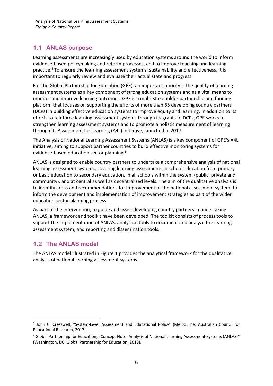# <span id="page-6-0"></span>**1.1 ANLAS purpose**

Learning assessments are increasingly used by education systems around the world to inform evidence-based policymaking and reform processes, and to improve teaching and learning practice.<sup>5</sup> To ensure the learning assessment systems' sustainability and effectiveness, it is important to regularly review and evaluate their actual state and progress.

For the Global Partnership for Education (GPE), an important priority is the quality of learning assessment systems as a key component of strong education systems and as a vital means to monitor and improve learning outcomes. GPE is a multi-stakeholder partnership and funding platform that focuses on supporting the efforts of more than 65 developing country partners (DCPs) in building effective education systems to improve equity and learning. In addition to its efforts to reinforce learning assessment systems through its grants to DCPs, GPE works to strengthen learning assessment systems and to promote a holistic measurement of learning through its Assessment for Learning (A4L) initiative, launched in 2017.

The Analysis of National Learning Assessment Systems (ANLAS) is a key component of GPE's A4L initiative, aiming to support partner countries to build effective monitoring systems for evidence-based education sector planning.<sup>6</sup>

ANLAS is designed to enable country partners to undertake a comprehensive analysis of national learning assessment systems, covering learning assessments in school education from primary or basic education to secondary education, in all schools within the system (public, private and community), and at central as well as decentralized levels. The aim of the qualitative analysis is to identify areas and recommendations for improvement of the national assessment system, to inform the development and implementation of improvement strategies as part of the wider education sector planning process.

As part of the intervention, to guide and assist developing country partners in undertaking ANLAS, a framework and toolkit have been developed. The toolkit consists of process tools to support the implementation of ANLAS, analytical tools to document and analyze the learning assessment system, and reporting and dissemination tools.

# <span id="page-6-1"></span>**1.2 The ANLAS model**

The ANLAS model illustrated in [Figure](#page-7-0) 1 provides the analytical framework for the qualitative analysis of national learning assessment systems.

<sup>5</sup> John C. Cresswell, "System-Level Assessment and Educational Policy" (Melbourne: Australian Council for Educational Research, 2017).

<sup>6</sup> Global Partnership for Education, "Concept Note: Analysis of National Learning Assessment Systems (ANLAS)" (Washington, DC: Global Partnership for Education, 2018).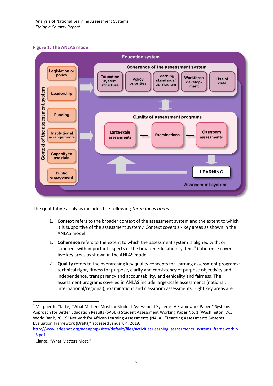### <span id="page-7-0"></span>**Figure 1: The ANLAS model**



The qualitative analysis includes the following *three focus areas*:

- 1. **Context** refers to the broader context of the assessment system and the extent to which it is supportive of the assessment system.<sup>7</sup> Context covers six key areas as shown in the ANLAS model.
- 1. **Coherence** refers to the extent to which the assessment system is aligned with, or coherent with important aspects of the broader education system. <sup>8</sup> Coherence covers five key areas as shown in the ANLAS model.
- 2. **Quality** refers to the overarching key quality concepts for learning assessment programs: technical rigor, fitness for purpose, clarify and consistency of purpose objectivity and independence, transparency and accountability, and ethicality and fairness. The assessment programs covered in ANLAS include large-scale assessments (national, international/regional), examinations and classroom assessments. Eight key areas are

<sup>&</sup>lt;sup>7</sup> Marguerite Clarke, "What Matters Most for Student Assessment Systems: A Framework Paper," Systems Approach for Better Education Results (SABER) Student Assessment Working Paper No. 1 (Washington, DC: World Bank, 2012); Network for African Learning Assessments (NALA), "Learning Assessments Systems Evaluation Framework (Draft)," accessed January 4, 2019,

[http://www.adeanet.org/adeapmp/sites/default/files/activities/learning\\_assessments\\_systems\\_framework\\_v](http://www.adeanet.org/adeapmp/sites/default/files/activities/learning_assessments_systems_framework_v18.pdf) [18.pdf.](http://www.adeanet.org/adeapmp/sites/default/files/activities/learning_assessments_systems_framework_v18.pdf)

<sup>8</sup> Clarke, "What Matters Most."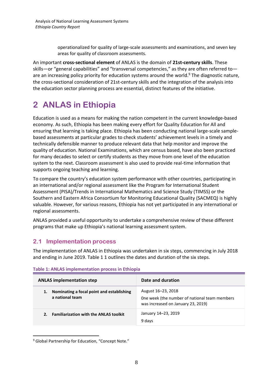operationalized for quality of large-scale assessments and examinations, and seven key areas for quality of classroom assessments.

An important **cross-sectional element** of ANLAS is the domain of **21st-century skills**. These skills—or "general capabilities" and "transversal competencies," as they are often referred to are an increasing policy priority for education systems around the world.<sup>9</sup> The diagnostic nature, the cross-sectional consideration of 21st-century skills and the integration of the analysis into the education sector planning process are essential, distinct features of the initiative.

# <span id="page-8-0"></span>**2 ANLAS in Ethiopia**

Education is used as a means for making the nation competent in the current knowledge-based economy. As such, Ethiopia has been making every effort for Quality Education for All and ensuring that learning is taking place. Ethiopia has been conducting national large-scale samplebased assessments at particular grades to check students' achievement levels in a timely and technically defensible manner to produce relevant data that help monitor and improve the quality of education. National Examinations, which are census based, have also been practiced for many decades to select or certify students as they move from one level of the education system to the next. Classroom assessment is also used to provide real-time information that supports ongoing teaching and learning.

To compare the country's education system performance with other countries, participating in an international and/or regional assessment like the Program for International Student Assessment (PISA)/Trends in International Mathematics and Science Study (TIMSS) or the Southern and Eastern Africa Consortium for Monitoring Educational Quality (SACMEQ) is highly valuable. However, for various reasons, Ethiopia has not yet participated in any international or regional assessments.

ANLAS provided a useful opportunity to undertake a comprehensive review of these different programs that make up Ethiopia's national learning assessment system.

# <span id="page-8-1"></span>**2.1 Implementation process**

The implementation of ANLAS in Ethiopia was undertaken in six steps, commencing in July 2018 and ending in June 2019. [Table](#page-8-2) 1 1 outlines the dates and duration of the six steps.

| <b>ANLAS implementation step</b>                              | Date and duration                                                                                         |
|---------------------------------------------------------------|-----------------------------------------------------------------------------------------------------------|
| Nominating a focal point and establishing<br>a national team  | August 16–23, 2018<br>One week (the number of national team members<br>was increased on January 23, 2019) |
| <b>Familiarization with the ANLAS toolkit</b><br>$\mathbf{2}$ | January 14-23, 2019<br>9 days                                                                             |

### <span id="page-8-2"></span>**Table 1: ANLAS implementation process in Ethiopia**

<sup>&</sup>lt;sup>9</sup> Global Partnership for Education, "Concept Note."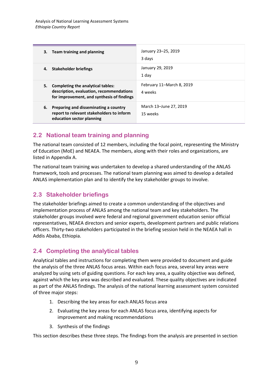| <b>Team training and planning</b>                                                                                                 | January 23-25, 2019                  |
|-----------------------------------------------------------------------------------------------------------------------------------|--------------------------------------|
| З.                                                                                                                                | 3 days                               |
| Stakeholder briefings                                                                                                             | January 29, 2019                     |
| 4.                                                                                                                                | 1 day                                |
| Completing the analytical tables:<br>5.<br>description, evaluation, recommendations<br>for improvement, and synthesis of findings | February 11–March 8, 2019<br>4 weeks |
| Preparing and disseminating a country<br>6.<br>report to relevant stakeholders to inform<br>education sector planning             | March 13-June 27, 2019<br>15 weeks   |

# <span id="page-9-0"></span>**2.2 National team training and planning**

The national team consisted of 12 members, including the focal point, representing the Ministry of Education (MoE) and NEAEA. The members, along with their roles and organizations, are listed in Appendix A.

The national team training was undertaken to develop a shared understanding of the ANLAS framework, tools and processes. The national team planning was aimed to develop a detailed ANLAS implementation plan and to identify the key stakeholder groups to involve.

# <span id="page-9-1"></span>**2.3 Stakeholder briefings**

The stakeholder briefings aimed to create a common understanding of the objectives and implementation process of ANLAS among the national team and key stakeholders. The stakeholder groups involved were federal and regional government education senior official representatives, NEAEA directors and senior experts, development partners and public relations officers. Thirty-two stakeholders participated in the briefing session held in the NEAEA hall in Addis Ababa, Ethiopia.

# <span id="page-9-2"></span>**2.4 Completing the analytical tables**

Analytical tables and instructions for completing them were provided to document and guide the analysis of the three ANLAS focus areas. Within each focus area, several key areas were analyzed by using sets of guiding questions. For each key area, a quality objective was defined, against which the key area was described and evaluated. These quality objectives are indicated as part of the ANLAS findings. The analysis of the national learning assessment system consisted of three major steps:

- 1. Describing the key areas for each ANLAS focus area
- 2. Evaluating the key areas for each ANLAS focus area, identifying aspects for improvement and making recommendations
- 3. Synthesis of the findings

This section describes these three steps. The findings from the analysis are presented in section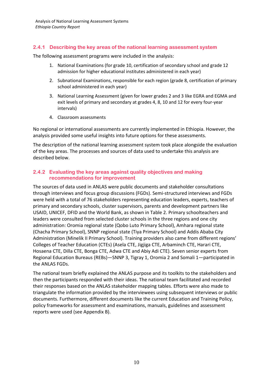### **2.4.1 Describing the key areas of the national learning assessment system**

The following assessment programs were included in the analysis:

- 1. National Examinations (for grade 10, certification of secondary school and grade 12 admission for higher educational institutes administered in each year)
- 2. Subnational Examinations, responsible for each region (grade 8, certification of primary school administered in each year)
- 3. National Learning Assessment (given for lower grades 2 and 3 like EGRA and EGMA and exit levels of primary and secondary at grades 4, 8, 10 and 12 for every four-year intervals)
- 4. Classroom assessments

No regional or international assessments are currently implemented in Ethiopia. However, the analysis provided some useful insights into future options for these assessments.

The description of the national learning assessment system took place alongside the evaluation of the key areas. The processes and sources of data used to undertake this analysis are described below.

### **2.4.2 Evaluating the key areas against quality objectives and making recommendations for improvement**

The sources of data used in ANLAS were public documents and stakeholder consultations through interviews and focus group discussions (FGDs). Semi-structured interviews and FGDs were held with a total of 76 stakeholders representing education leaders, experts, teachers of primary and secondary schools, cluster supervisors, parents and development partners like USAID, UNICEF, DFID and the World Bank, as shown in Table 2. Primary schoolteachers and leaders were consulted from selected cluster schools in the three regions and one city administration: Oromia regional state (Qobo Luto Primary School), Amhara regional state (Chacha Primary School), SNNP regional state (Tiya Primary School) and Addis Ababa City Administration (Minelik II Primary School). Training providers also came from different regions' Colleges of Teacher Education (CTEs) (Asela CTE, Jigjiga CTE, Arbaminch CTE, Harari CTE, Hosaena CTE, Dilla CTE, Bonga CTE, Adwa CTE and Abiy Adi CTE). Seven senior experts from Regional Education Bureaus (REBs)—SNNP 3, Tigray 1, Oromia 2 and Somali 1—participated in the ANLAS FGDs.

The national team briefly explained the ANLAS purpose and its toolkits to the stakeholders and then the participants responded with their ideas. The national team facilitated and recorded their responses based on the ANLAS stakeholder mapping tables. Efforts were also made to triangulate the information provided by the interviewees using subsequent interviews or public documents. Furthermore, different documents like the current Education and Training Policy, policy frameworks for assessment and examinations, manuals, guidelines and assessment reports were used (see Appendix B).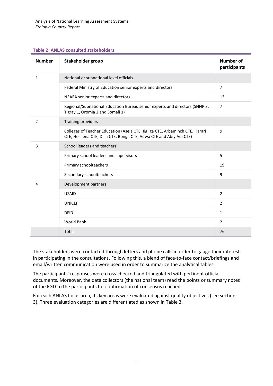#### **Table 2: ANLAS consulted stakeholders**

| <b>Number</b>  | Stakeholder group                                                                                                                                  | <b>Number of</b><br>participants |
|----------------|----------------------------------------------------------------------------------------------------------------------------------------------------|----------------------------------|
| 1              | National or subnational level officials                                                                                                            |                                  |
|                | Federal Ministry of Education senior experts and directors                                                                                         | $\overline{7}$                   |
|                | NEAEA senior experts and directors                                                                                                                 | 13                               |
|                | Regional/Subnational Education Bureau senior experts and directors (SNNP 3,<br>Tigray 1, Oromia 2 and Somali 1)                                    | $\overline{7}$                   |
| $\overline{2}$ | Training providers                                                                                                                                 |                                  |
|                | Colleges of Teacher Education (Asela CTE, Jigjiga CTE, Arbaminch CTE, Harari<br>CTE, Hosaena CTE, Dilla CTE, Bonga CTE, Adwa CTE and Abiy Adi CTE) | 9                                |
| 3              | School leaders and teachers                                                                                                                        |                                  |
|                | Primary school leaders and supervisors                                                                                                             | 5                                |
|                | Primary schoolteachers                                                                                                                             | 19                               |
|                | Secondary schoolteachers                                                                                                                           | 9                                |
| 4              | Development partners                                                                                                                               |                                  |
|                | <b>USAID</b>                                                                                                                                       | $\overline{2}$                   |
|                | <b>UNICEF</b>                                                                                                                                      | $\overline{2}$                   |
|                | <b>DFID</b>                                                                                                                                        | $\mathbf{1}$                     |
|                | World Bank                                                                                                                                         | $\overline{2}$                   |
|                | Total                                                                                                                                              | 76                               |

The stakeholders were contacted through letters and phone calls in order to gauge their interest in participating in the consultations. Following this, a blend of face-to-face contact/briefings and email/written communication were used in order to summarize the analytical tables.

The participants' responses were cross-checked and triangulated with pertinent official documents. Moreover, the data collectors (the national team) read the points or summary notes of the FGD to the participants for confirmation of consensus reached.

For each ANLAS focus area, its key areas were evaluated against quality objectives (see section 3). Three evaluation categories are differentiated as shown in Table 3.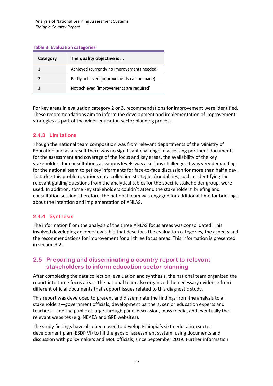#### **Table 3: Evaluation categories**

| Category | The quality objective is                    |  |
|----------|---------------------------------------------|--|
|          | Achieved (currently no improvements needed) |  |
|          | Partly achieved (improvements can be made)  |  |
|          | Not achieved (improvements are required)    |  |

For key areas in evaluation category 2 or 3, recommendations for improvement were identified. These recommendations aim to inform the development and implementation of improvement strategies as part of the wider education sector planning process.

### **2.4.3 Limitations**

Though the national team composition was from relevant departments of the Ministry of Education and as a result there was no significant challenge in accessing pertinent documents for the assessment and coverage of the focus and key areas, the availability of the key stakeholders for consultations at various levels was a serious challenge. It was very demanding for the national team to get key informants for face-to-face discussion for more than half a day. To tackle this problem, various data collection strategies/modalities, such as identifying the relevant guiding questions from the analytical tables for the specific stakeholder group, were used. In addition, some key stakeholders couldn't attend the stakeholders' briefing and consultation session; therefore, the national team was engaged for additional time for briefings about the intention and implementation of ANLAS.

### **2.4.4 Synthesis**

The information from the analysis of the three ANLAS focus areas was consolidated. This involved developing an overview table that describes the evaluation categories, the aspects and the recommendations for improvement for all three focus areas. This information is presented in section 3.2.

# <span id="page-12-0"></span>**2.5 Preparing and disseminating a country report to relevant stakeholders to inform education sector planning**

After completing the data collection, evaluation and synthesis, the national team organized the report into three focus areas. The national team also organized the necessary evidence from different official documents that support issues related to this diagnostic study.

This report was developed to present and disseminate the findings from the analysis to all stakeholders—government officials, development partners, senior education experts and teachers—and the public at large through panel discussion, mass media, and eventually the relevant websites (e.g. NEAEA and GPE websites).

The study findings have also been used to develop Ethiopia's sixth education sector development plan (ESDP VI) to fill the gaps of assessment system, using documents and discussion with policymakers and MoE officials, since September 2019. Further information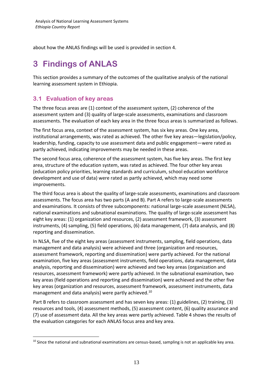about how the ANLAS findings will be used is provided in section 4.

# <span id="page-13-0"></span>**3 Findings of ANLAS**

This section provides a summary of the outcomes of the qualitative analysis of the national learning assessment system in Ethiopia.

# <span id="page-13-1"></span>**3.1 Evaluation of key areas**

The three focus areas are (1) context of the assessment system, (2) coherence of the assessment system and (3) quality of large-scale assessments, examinations and classroom assessments. The evaluation of each key area in the three focus areas is summarized as follows.

The first focus area, context of the assessment system, has six key areas. One key area, institutional arrangements, was rated as achieved. The other five key areas—legislation/policy, leadership, funding, capacity to use assessment data and public engagement—were rated as partly achieved, indicating improvements may be needed in these areas.

The second focus area, coherence of the assessment system, has five key areas. The first key area, structure of the education system, was rated as achieved. The four other key areas (education policy priorities, learning standards and curriculum, school education workforce development and use of data) were rated as partly achieved, which may need some improvements.

The third focus area is about the quality of large-scale assessments, examinations and classroom assessments. The focus area has two parts (A and B). Part A refers to large-scale assessments and examinations. It consists of three subcomponents: national large-scale assessment (NLSA), national examinations and subnational examinations. The quality of large-scale assessment has eight key areas: (1) organization and resources, (2) assessment framework, (3) assessment instruments, (4) sampling, (5) field operations, (6) data management, (7) data analysis, and (8) reporting and dissemination.

In NLSA, five of the eight key areas (assessment instruments, sampling, field operations, data management and data analysis) were achieved and three (organization and resources, assessment framework, reporting and dissemination) were partly achieved. For the national examination, five key areas (assessment instruments, field operations, data management, data analysis, reporting and dissemination) were achieved and two key areas (organization and resources, assessment framework) were partly achieved. In the subnational examination, two key areas (field operations and reporting and dissemination) were achieved and the other five key areas (organization and resources, assessment framework, assessment instruments, data management and data analysis) were partly achieved.<sup>10</sup>

Part B refers to classroom assessment and has seven key areas: (1) guidelines, (2) training, (3) resources and tools, (4) assessment methods, (5) assessment content, (6) quality assurance and (7) use of assessment data. All the key areas were partly achieved. Table 4 shows the results of the evaluation categories for each ANLAS focus area and key area.

<sup>&</sup>lt;sup>10</sup> Since the national and subnational examinations are census-based, sampling is not an applicable key area.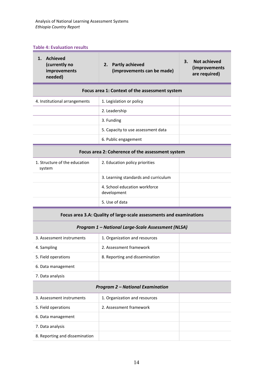#### **Table 4: Evaluation results**

| 1. Achieved<br>(currently no<br>improvements<br>needed)             | <b>Partly achieved</b><br>2.<br>(improvements can be made) | 3.<br><b>Not achieved</b><br>(improvements<br>are required) |
|---------------------------------------------------------------------|------------------------------------------------------------|-------------------------------------------------------------|
|                                                                     | Focus area 1: Context of the assessment system             |                                                             |
| 4. Institutional arrangements                                       | 1. Legislation or policy                                   |                                                             |
|                                                                     | 2. Leadership                                              |                                                             |
|                                                                     | 3. Funding                                                 |                                                             |
|                                                                     | 5. Capacity to use assessment data                         |                                                             |
|                                                                     | 6. Public engagement                                       |                                                             |
|                                                                     | Focus area 2: Coherence of the assessment system           |                                                             |
| 1. Structure of the education<br>system                             | 2. Education policy priorities                             |                                                             |
|                                                                     | 3. Learning standards and curriculum                       |                                                             |
|                                                                     | 4. School education workforce<br>development               |                                                             |
|                                                                     | 5. Use of data                                             |                                                             |
| Focus area 3.A: Quality of large-scale assessments and examinations |                                                            |                                                             |
|                                                                     | Program 1 - National Large-Scale Assessment (NLSA)         |                                                             |
| 3. Assessment instruments                                           | 1. Organization and resources                              |                                                             |
| 4. Sampling                                                         | 2. Assessment framework                                    |                                                             |
| 5. Field operations                                                 | 8. Reporting and dissemination                             |                                                             |
| 6. Data management                                                  |                                                            |                                                             |
| 7. Data analysis                                                    |                                                            |                                                             |
| <b>Program 2 - National Examination</b>                             |                                                            |                                                             |
| 3. Assessment instruments                                           | 1. Organization and resources                              |                                                             |
| 5. Field operations                                                 | 2. Assessment framework                                    |                                                             |
| 6. Data management                                                  |                                                            |                                                             |
| 7. Data analysis                                                    |                                                            |                                                             |
| 8. Reporting and dissemination                                      |                                                            |                                                             |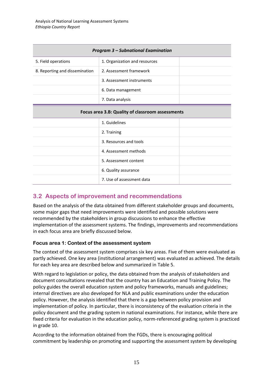| <b>Program 3 – Subnational Examination</b>       |                               |  |
|--------------------------------------------------|-------------------------------|--|
| 5. Field operations                              | 1. Organization and resources |  |
| 8. Reporting and dissemination                   | 2. Assessment framework       |  |
|                                                  | 3. Assessment instruments     |  |
|                                                  | 6. Data management            |  |
|                                                  | 7. Data analysis              |  |
| Focus area 3.B: Quality of classroom assessments |                               |  |
|                                                  | 1. Guidelines                 |  |
|                                                  | 2. Training                   |  |
|                                                  | 3. Resources and tools        |  |
|                                                  | 4. Assessment methods         |  |
|                                                  | 5. Assessment content         |  |
|                                                  | 6. Quality assurance          |  |
|                                                  | 7. Use of assessment data     |  |

# <span id="page-15-0"></span>**3.2 Aspects of improvement and recommendations**

Based on the analysis of the data obtained from different stakeholder groups and documents, some major gaps that need improvements were identified and possible solutions were recommended by the stakeholders in group discussions to enhance the effective implementation of the assessment systems. The findings, improvements and recommendations in each focus area are briefly discussed below.

### **Focus area 1: Context of the assessment system**

The context of the assessment system comprises six key areas. Five of them were evaluated as partly achieved. One key area (institutional arrangement) was evaluated as achieved. The details for each key area are described below and summarized in Table 5.

With regard to legislation or policy, the data obtained from the analysis of stakeholders and document consultations revealed that the country has an Education and Training Policy. The policy guides the overall education system and policy frameworks, manuals and guidelines; internal directives are also developed for NLA and public examinations under the education policy. However, the analysis identified that there is a gap between policy provision and implementation of policy. In particular, there is inconsistency of the evaluation criteria in the policy document and the grading system in national examinations. For instance, while there are fixed criteria for evaluation in the education policy, norm-referenced grading system is practiced in grade 10.

According to the information obtained from the FGDs, there is encouraging political commitment by leadership on promoting and supporting the assessment system by developing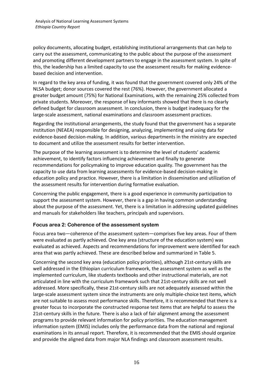policy documents, allocating budget, establishing institutional arrangements that can help to carry out the assessment, communicating to the public about the purpose of the assessment and promoting different development partners to engage in the assessment system. In spite of this, the leadership has a limited capacity to use the assessment results for making evidencebased decision and intervention.

In regard to the key area of funding, it was found that the government covered only 24% of the NLSA budget; donor sources covered the rest (76%). However, the government allocated a greater budget amount (75%) for National Examinations, with the remaining 25% collected from private students. Moreover, the response of key informants showed that there is no clearly defined budget for classroom assessment. In conclusion, there is budget inadequacy for the large-scale assessment, national examinations and classroom assessment practices.

Regarding the institutional arrangements, the study found that the government has a separate institution (NEAEA) responsible for designing, analyzing, implementing and using data for evidence-based decision-making. In addition, various departments in the ministry are expected to document and utilize the assessment results for better intervention.

The purpose of the learning assessment is to determine the level of students' academic achievement, to identify factors influencing achievement and finally to generate recommendations for policymaking to improve education quality. The government has the capacity to use data from learning assessments for evidence-based decision-making in education policy and practice. However, there is a limitation in dissemination and utilization of the assessment results for intervention during formative evaluation.

Concerning the public engagement, there is a good experience in community participation to support the assessment system. However, there is a gap in having common understanding about the purpose of the assessment. Yet, there is a limitation in addressing updated guidelines and manuals for stakeholders like teachers, principals and supervisors.

### **Focus area 2: Coherence of the assessment system**

Focus area two—coherence of the assessment system—comprises five key areas. Four of them were evaluated as partly achieved. One key area (structure of the education system) was evaluated as achieved. Aspects and recommendations for improvement were identified for each area that was partly achieved. These are described below and summarized in Table 5.

Concerning the second key area (education policy priorities), although 21st-century skills are well addressed in the Ethiopian curriculum framework, the assessment system as well as the implemented curriculum, like students textbooks and other instructional materials, are not articulated in line with the curriculum framework such that 21st-century skills are not well addressed. More specifically, these 21st-century skills are not adequately assessed within the large-scale assessment system since the instruments are only multiple-choice test items, which are not suitable to assess most performance skills. Therefore, it is recommended that there is a greater focus to incorporate the constructed response test items that are helpful to assess the 21st-century skills in the future. There is also a lack of fair alignment among the assessment programs to provide relevant information for policy priorities. The education management information system (EMIS) includes only the performance data from the national and regional examinations in its annual report. Therefore, it is recommended that the EMIS should organize and provide the aligned data from major NLA findings and classroom assessment results.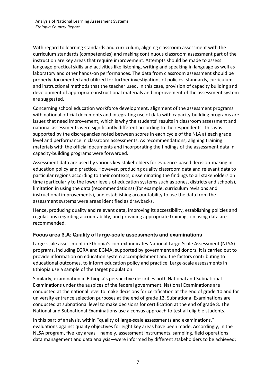With regard to learning standards and curriculum, aligning classroom assessment with the curriculum standards (competencies) and making continuous classroom assessment part of the instruction are key areas that require improvement. Attempts should be made to assess language practical skills and activities like listening, writing and speaking in language as well as laboratory and other hands-on performances. The data from classroom assessment should be properly documented and utilized for further investigations of policies, standards, curriculum and instructional methods that the teacher used. In this case, provision of capacity building and development of appropriate instructional materials and improvement of the assessment system are suggested.

Concerning school education workforce development, alignment of the assessment programs with national official documents and integrating use of data with capacity-building programs are issues that need improvement, which is why the students' results in classroom assessment and national assessments were significantly different according to the respondents. This was supported by the discrepancies noted between scores in each cycle of the NLA at each grade level and performance in classroom assessments. As recommendations, aligning training materials with the official documents and incorporating the findings of the assessment data in capacity-building programs were forwarded.

Assessment data are used by various key stakeholders for evidence-based decision-making in education policy and practice. However, producing quality classroom data and relevant data to particular regions according to their contexts, disseminating the findings to all stakeholders on time (particularly to the lower levels of education systems such as zones, districts and schools), limitation in using the data (recommendations) (for example, curriculum revisions and instructional improvements), and establishing accountability to use the data from the assessment systems were areas identified as drawbacks.

Hence, producing quality and relevant data, improving its accessibility, establishing policies and regulations regarding accountability, and providing appropriate trainings on using data are recommended.

### **Focus area 3.A: Quality of large-scale assessments and examinations**

Large-scale assessment in Ethiopia's context indicates National Large-Scale Assessment (NLSA) programs, including EGRA and EGMA, supported by government and donors. It is carried out to provide information on education system accomplishment and the factors contributing to educational outcomes, to inform education policy and practice. Large-scale assessments in Ethiopia use a sample of the target population.

Similarly, examination in Ethiopia's perspective describes both National and Subnational Examinations under the auspices of the federal government. National Examinations are conducted at the national level to make decisions for certification at the end of grade 10 and for university entrance selection purposes at the end of grade 12. Subnational Examinations are conducted at subnational level to make decisions for certification at the end of grade 8. The National and Subnational Examinations use a census approach to test all eligible students.

In this part of analysis, within "quality of large-scale assessments and examinations," evaluations against quality objectives for eight key areas have been made. Accordingly, in the NLSA program, five key areas—namely, assessment instruments, sampling, field operations, data management and data analysis—were informed by different stakeholders to be achieved;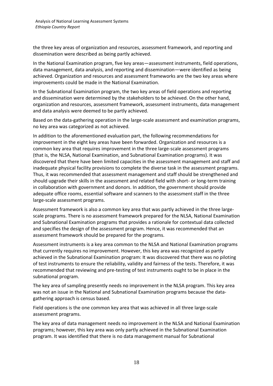the three key areas of organization and resources, assessment framework, and reporting and dissemination were described as being partly achieved.

In the National Examination program, five key areas—assessment instruments, field operations, data management, data analysis, and reporting and dissemination—were identified as being achieved. Organization and resources and assessment frameworks are the two key areas where improvements could be made in the National Examination.

In the Subnational Examination program, the two key areas of field operations and reporting and dissemination were determined by the stakeholders to be achieved. On the other hand, organization and resources, assessment framework, assessment instruments, data management and data analysis were deemed to be partly achieved.

Based on the data-gathering operation in the large-scale assessment and examination programs, no key area was categorized as not achieved.

In addition to the aforementioned evaluation part, the following recommendations for improvement in the eight key areas have been forwarded. Organization and resources is a common key area that requires improvement in the three large-scale assessment programs (that is, the NLSA, National Examination, and Subnational Examination programs). It was discovered that there have been limited capacities in the assessment management and staff and inadequate physical facility provisions to complete the diverse task in the assessment programs. Thus, it was recommended that assessment management and staff should be strengthened and should upgrade their skills in the assessment and related field with short- or long-term training in collaboration with government and donors. In addition, the government should provide adequate office rooms, essential software and scanners to the assessment staff in the three large-scale assessment programs.

Assessment framework is also a common key area that was partly achieved in the three largescale programs. There is no assessment framework prepared for the NLSA, National Examination and Subnational Examination programs that provides a rationale for contextual data collected and specifies the design of the assessment program. Hence, it was recommended that an assessment framework should be prepared for the programs.

Assessment instruments is a key area common to the NLSA and National Examination programs that currently requires no improvement. However, this key area was recognized as partly achieved in the Subnational Examination program: It was discovered that there was no piloting of test instruments to ensure the reliability, validity and fairness of the tests. Therefore, it was recommended that reviewing and pre-testing of test instruments ought to be in place in the subnational program.

The key area of sampling presently needs no improvement in the NLSA program. This key area was not an issue in the National and Subnational Examination programs because the datagathering approach is census based.

Field operations is the one common key area that was achieved in all three large-scale assessment programs.

The key area of data management needs no improvement in the NLSA and National Examination programs; however, this key area was only partly achieved in the Subnational Examination program. It was identified that there is no data management manual for Subnational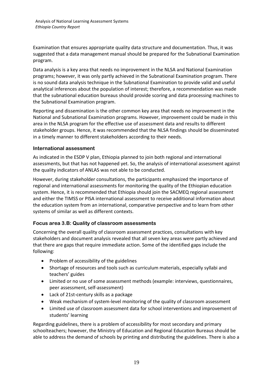Examination that ensures appropriate quality data structure and documentation. Thus, it was suggested that a data management manual should be prepared for the Subnational Examination program.

Data analysis is a key area that needs no improvement in the NLSA and National Examination programs; however, it was only partly achieved in the Subnational Examination program. There is no sound data analysis technique in the Subnational Examination to provide valid and useful analytical inferences about the population of interest; therefore, a recommendation was made that the subnational education bureaus should provide scoring and data processing machines to the Subnational Examination program.

Reporting and dissemination is the other common key area that needs no improvement in the National and Subnational Examination programs. However, improvement could be made in this area in the NLSA program for the effective use of assessment data and results to different stakeholder groups. Hence, it was recommended that the NLSA findings should be disseminated in a timely manner to different stakeholders according to their needs.

### **International assessment**

As indicated in the ESDP V plan, Ethiopia planned to join both regional and international assessments, but that has not happened yet. So, the analysis of international assessment against the quality indicators of ANLAS was not able to be conducted.

However, during stakeholder consultations, the participants emphasized the importance of regional and international assessments for monitoring the quality of the Ethiopian education system. Hence, it is recommended that Ethiopia should join the SACMEQ regional assessment and either the TIMSS or PISA international assessment to receive additional information about the education system from an international, comparative perspective and to learn from other systems of similar as well as different contexts.

### **Focus area 3.B: Quality of classroom assessments**

Concerning the overall quality of classroom assessment practices, consultations with key stakeholders and document analysis revealed that all seven key areas were partly achieved and that there are gaps that require immediate action. Some of the identified gaps include the following:

- Problem of accessibility of the guidelines
- Shortage of resources and tools such as curriculum materials, especially syllabi and teachers' guides
- Limited or no use of some assessment methods (example: interviews, questionnaires, peer assessment, self-assessment)
- Lack of 21st-century skills as a package
- Weak mechanism of system-level monitoring of the quality of classroom assessment
- Limited use of classroom assessment data for school interventions and improvement of students' learning

Regarding guidelines, there is a problem of accessibility for most secondary and primary schoolteachers; however, the Ministry of Education and Regional Education Bureaus should be able to address the demand of schools by printing and distributing the guidelines. There is also a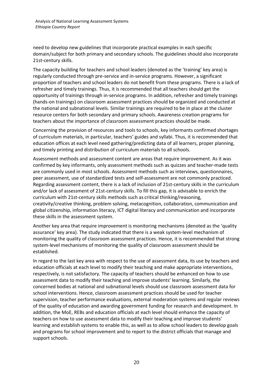need to develop new guidelines that incorporate practical examples in each specific domain/subject for both primary and secondary schools. The guidelines should also incorporate 21st-century skills.

The capacity building for teachers and school leaders (denoted as the 'training' key area) is regularly conducted through pre-service and in-service programs. However, a significant proportion of teachers and school leaders do not benefit from these programs. There is a lack of refresher and timely trainings. Thus, it is recommended that all teachers should get the opportunity of trainings through in-service programs. In addition, refresher and timely trainings (hands-on trainings) on classroom assessment practices should be organized and conducted at the national and subnational levels. Similar trainings are required to be in place at the cluster resource centers for both secondary and primary schools. Awareness creation programs for teachers about the importance of classroom assessment practices should be made.

Concerning the provision of resources and tools to schools, key informants confirmed shortages of curriculum materials, in particular, teachers' guides and syllabi. Thus, it is recommended that education offices at each level need gathering/predicting data of all learners, proper planning, and timely printing and distribution of curriculum materials to all schools.

Assessment methods and assessment content are areas that require improvement. As it was confirmed by key informants, only assessment methods such as quizzes and teacher-made tests are commonly used in most schools. Assessment methods such as interviews, questionnaires, peer assessment, use of standardized tests and self-assessment are not commonly practiced. Regarding assessment content, there is a lack of inclusion of 21st-century skills in the curriculum and/or lack of assessment of 21st-century skills. To fill this gap, it is advisable to enrich the curriculum with 21st-century skills methods such as critical thinking/reasoning, creativity/creative thinking, problem solving, metacognition, collaboration, communication and global citizenship, information literacy, ICT digital literacy and communication and incorporate these skills in the assessment system.

Another key area that require improvement is monitoring mechanisms (denoted as the 'quality assurance' key area). The study indicated that there is a weak system-level mechanism of monitoring the quality of classroom assessment practices. Hence, it is recommended that strong system-level mechanisms of monitoring the quality of classroom assessment should be established.

In regard to the last key area with respect to the use of assessment data, its use by teachers and education officials at each level to modify their teaching and make appropriate interventions, respectively, is not satisfactory. The capacity of teachers should be enhanced on how to use assessment data to modify their teaching and improve students' learning. Similarly, the concerned bodies at national and subnational levels should use classroom assessment data for school interventions. Hence, classroom assessment practices should be used for teacher supervision, teacher performance evaluations, external moderation systems and regular reviews of the quality of education and awarding government funding for research and development. In addition, the MoE, REBs and education officials at each level should enhance the capacity of teachers on how to use assessment data to modify their teaching and improve students' learning and establish systems to enable this, as well as to allow school leaders to develop goals and programs for school improvement and to report to the district officials that manage and support schools.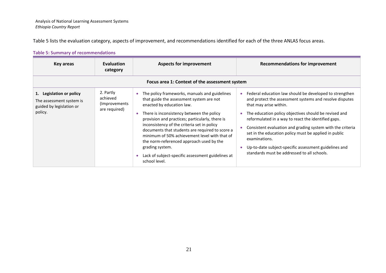Table 5 lists the evaluation category, aspects of improvement, and recommendations identified for each of the three ANLAS focus areas.

### **Table 5: Summary of recommendations**

| Key areas                                                                                   | <b>Evaluation</b><br>category                            | <b>Aspects for improvement</b>                                                                                                                                                                                                                                                                                                                                                                                                                                                                                   | <b>Recommendations for improvement</b>                                                                                                                                                                                                                                                                                                                                                                                                                                                                                    |
|---------------------------------------------------------------------------------------------|----------------------------------------------------------|------------------------------------------------------------------------------------------------------------------------------------------------------------------------------------------------------------------------------------------------------------------------------------------------------------------------------------------------------------------------------------------------------------------------------------------------------------------------------------------------------------------|---------------------------------------------------------------------------------------------------------------------------------------------------------------------------------------------------------------------------------------------------------------------------------------------------------------------------------------------------------------------------------------------------------------------------------------------------------------------------------------------------------------------------|
|                                                                                             |                                                          | Focus area 1: Context of the assessment system                                                                                                                                                                                                                                                                                                                                                                                                                                                                   |                                                                                                                                                                                                                                                                                                                                                                                                                                                                                                                           |
| 1. Legislation or policy<br>The assessment system is<br>guided by legislation or<br>policy. | 2. Partly<br>achieved<br>(Improvements)<br>are required) | • The policy frameworks, manuals and guidelines<br>that guide the assessment system are not<br>enacted by education law.<br>There is inconsistency between the policy<br>provision and practices; particularly, there is<br>inconsistency of the criteria set in policy<br>documents that students are required to score a<br>minimum of 50% achievement level with that of<br>the norm-referenced approach used by the<br>grading system.<br>Lack of subject-specific assessment guidelines at<br>school level. | Federal education law should be developed to strengthen<br>and protect the assessment systems and resolve disputes<br>that may arise within.<br>The education policy objectives should be revised and<br>reformulated in a way to react the identified gaps.<br>Consistent evaluation and grading system with the criteria<br>set in the education policy must be applied in public<br>examinations.<br>Up-to-date subject-specific assessment guidelines and<br>$\bullet$<br>standards must be addressed to all schools. |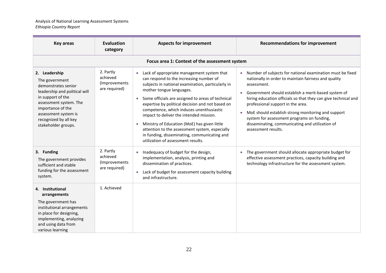| <b>Key areas</b>                                                                                                                                                                                                                    | <b>Evaluation</b><br>category                           | <b>Aspects for improvement</b>                                                                                                                                                                                                                                                                                                                                                                                                                                                                                                                                 | <b>Recommendations for improvement</b>                                                                                                                                                                                                                                                                                                                                                                                                                                                                 |
|-------------------------------------------------------------------------------------------------------------------------------------------------------------------------------------------------------------------------------------|---------------------------------------------------------|----------------------------------------------------------------------------------------------------------------------------------------------------------------------------------------------------------------------------------------------------------------------------------------------------------------------------------------------------------------------------------------------------------------------------------------------------------------------------------------------------------------------------------------------------------------|--------------------------------------------------------------------------------------------------------------------------------------------------------------------------------------------------------------------------------------------------------------------------------------------------------------------------------------------------------------------------------------------------------------------------------------------------------------------------------------------------------|
|                                                                                                                                                                                                                                     |                                                         | Focus area 1: Context of the assessment system                                                                                                                                                                                                                                                                                                                                                                                                                                                                                                                 |                                                                                                                                                                                                                                                                                                                                                                                                                                                                                                        |
| 2. Leadership<br>The government<br>demonstrates senior<br>leadership and political will<br>in support of the<br>assessment system. The<br>importance of the<br>assessment system is<br>recognized by all key<br>stakeholder groups. | 2. Partly<br>achieved<br>(Improvements<br>are required) | Lack of appropriate management system that<br>can respond to the increasing number of<br>subjects in national examination, particularly in<br>mother tongue languages.<br>Some officials are assigned to areas of technical<br>expertise by political decision and not based on<br>competence, which induces unenthusiastic<br>impact to deliver the intended mission.<br>Ministry of Education (MoE) has given little<br>attention to the assessment system, especially<br>in funding, disseminating, communicating and<br>utilization of assessment results. | Number of subjects for national examination must be fixed<br>$\bullet$<br>nationally in order to maintain fairness and quality<br>assessment.<br>Government should establish a merit-based system of<br>hiring education officials so that they can give technical and<br>professional support in the area.<br>MoE should establish strong monitoring and support<br>$\bullet$<br>system for assessment programs on funding,<br>disseminating, communicating and utilization of<br>assessment results. |
| 3. Funding<br>The government provides<br>sufficient and stable<br>funding for the assessment<br>system.                                                                                                                             | 2. Partly<br>achieved<br>(Improvements<br>are required) | Inadequacy of budget for the design,<br>implementation, analysis, printing and<br>dissemination of practices.<br>Lack of budget for assessment capacity building<br>$\bullet$<br>and infrastructure.                                                                                                                                                                                                                                                                                                                                                           | The government should allocate appropriate budget for<br>$\bullet$<br>effective assessment practices, capacity building and<br>technology infrastructure for the assessment system.                                                                                                                                                                                                                                                                                                                    |
| 4. Institutional<br>arrangements<br>The government has<br>institutional arrangements<br>in place for designing,<br>implementing, analyzing<br>and using data from<br>various learning                                               | 1. Achieved                                             |                                                                                                                                                                                                                                                                                                                                                                                                                                                                                                                                                                |                                                                                                                                                                                                                                                                                                                                                                                                                                                                                                        |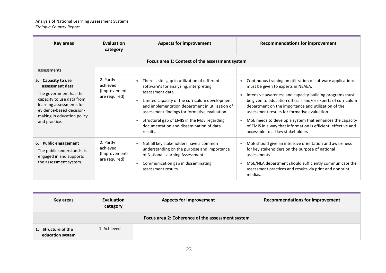| <b>Key areas</b>                                                                                                                                                                                    | <b>Evaluation</b><br>category                            | <b>Aspects for improvement</b>                                                                                                                                                                                                                                                                                                                                           | <b>Recommendations for improvement</b>                                                                                                                                                                                                                                                                                                                                                                                                                                                                                           |
|-----------------------------------------------------------------------------------------------------------------------------------------------------------------------------------------------------|----------------------------------------------------------|--------------------------------------------------------------------------------------------------------------------------------------------------------------------------------------------------------------------------------------------------------------------------------------------------------------------------------------------------------------------------|----------------------------------------------------------------------------------------------------------------------------------------------------------------------------------------------------------------------------------------------------------------------------------------------------------------------------------------------------------------------------------------------------------------------------------------------------------------------------------------------------------------------------------|
|                                                                                                                                                                                                     |                                                          | Focus area 1: Context of the assessment system                                                                                                                                                                                                                                                                                                                           |                                                                                                                                                                                                                                                                                                                                                                                                                                                                                                                                  |
| assessments.                                                                                                                                                                                        |                                                          |                                                                                                                                                                                                                                                                                                                                                                          |                                                                                                                                                                                                                                                                                                                                                                                                                                                                                                                                  |
| 5. Capacity to use<br>assessment data<br>The government has the<br>capacity to use data from<br>learning assessments for<br>evidence-based decision-<br>making in education policy<br>and practice. | 2. Partly<br>achieved<br>(Improvements)<br>are required) | There is skill gap in utilization of different<br>software's for analyzing, interpreting<br>assessment data.<br>Limited capacity of the curriculum development<br>and implementation department in utilization of<br>assessment findings for formative evaluation.<br>Structural gap of EMIS in the MoE regarding<br>documentation and dissemination of data<br>results. | Continuous training on utilization of software applications<br>$\bullet$<br>must be given to experts in NEAEA.<br>Intensive awareness and capacity-building programs must<br>be given to education officials and/or experts of curriculum<br>department on the importance and utilization of the<br>assessment results for formative evaluation.<br>MoE needs to develop a system that enhances the capacity<br>$\bullet$<br>of EMIS in a way that information is efficient, effective and<br>accessible to all key stakeholders |
| 6. Public engagement<br>The public understands, is<br>engaged in and supports<br>the assessment system.                                                                                             | 2. Partly<br>achieved<br>(Improvements)<br>are required) | Not all key stakeholders have a common<br>understanding on the purpose and importance<br>of National Learning Assessment.<br>Communication gap in disseminating<br>$\bullet$<br>assessment results.                                                                                                                                                                      | MoE should give an intensive orientation and awareness<br>$\bullet$<br>for key stakeholders on the purpose of national<br>assessments.<br>MoE/NLA department should sufficiently communicate the<br>assessment practices and results via print and nonprint<br>medias.                                                                                                                                                                                                                                                           |

| Key areas                                        | Evaluation<br>category | <b>Aspects for improvement</b> | <b>Recommendations for improvement</b> |  |
|--------------------------------------------------|------------------------|--------------------------------|----------------------------------------|--|
| Focus area 2: Coherence of the assessment system |                        |                                |                                        |  |
| 1. Structure of the<br>education system          | 1. Achieved            |                                |                                        |  |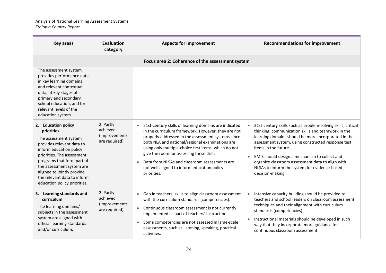| <b>Key areas</b>                                                                                                                                                                                                                                                                                         | Evaluation<br>category                                  | <b>Aspects for improvement</b>                                                                                                                                                                                                                                                                                                                                                                                                            | <b>Recommendations for improvement</b>                                                                                                                                                                                                                                                                                                                                                                                            |
|----------------------------------------------------------------------------------------------------------------------------------------------------------------------------------------------------------------------------------------------------------------------------------------------------------|---------------------------------------------------------|-------------------------------------------------------------------------------------------------------------------------------------------------------------------------------------------------------------------------------------------------------------------------------------------------------------------------------------------------------------------------------------------------------------------------------------------|-----------------------------------------------------------------------------------------------------------------------------------------------------------------------------------------------------------------------------------------------------------------------------------------------------------------------------------------------------------------------------------------------------------------------------------|
|                                                                                                                                                                                                                                                                                                          |                                                         | Focus area 2: Coherence of the assessment system                                                                                                                                                                                                                                                                                                                                                                                          |                                                                                                                                                                                                                                                                                                                                                                                                                                   |
| The assessment system<br>provides performance data<br>in key learning domains<br>and relevant contextual<br>data, at key stages of<br>primary and secondary<br>school education, and for<br>relevant levels of the<br>education system.                                                                  |                                                         |                                                                                                                                                                                                                                                                                                                                                                                                                                           |                                                                                                                                                                                                                                                                                                                                                                                                                                   |
| 2. Education policy<br>priorities<br>The assessment system<br>provides relevant data to<br>inform education policy<br>priorities. The assessment<br>programs that form part of<br>the assessment system are<br>aligned to jointly provide<br>the relevant data to inform<br>education policy priorities. | 2. Partly<br>achieved<br>(Improvements<br>are required) | • 21st-century skills of learning domains are indicated<br>in the curriculum framework. However, they are not<br>properly addressed in the assessment systems since<br>both NLA and national/regional examinations are<br>using only multiple-choice test items, which do not<br>give the room for assessing these skills.<br>Data from NLSAs and classroom assessments are<br>not well aligned to inform education policy<br>priorities. | 21st-century skills such as problem-solving skills, critical<br>thinking, communication skills and teamwork in the<br>learning domains should be more incorporated in the<br>assessment system, using constructed response test<br>items in the future.<br>EMIS should design a mechanism to collect and<br>organize classroom assessment data to align with<br>NLSAs to inform the system for evidence-based<br>decision-making. |
| 3. Learning standards and<br>curriculum<br>The learning domains/<br>subjects in the assessment<br>system are aligned with<br>official learning standards<br>and/or curriculum.                                                                                                                           | 2. Partly<br>achieved<br>(Improvements<br>are required) | • Gap in teachers' skills to align classroom assessment<br>with the curriculum standards (competencies).<br>Continuous classroom assessment is not currently<br>implemented as part of teachers' instruction.<br>Some competencies are not assessed in large-scale<br>assessments, such as listening, speaking, practical<br>activities.                                                                                                  | Intensive capacity building should be provided to<br>teachers and school leaders on classroom assessment<br>techniques and their alignment with curriculum<br>standards (competencies).<br>Instructional materials should be developed in such<br>way that they incorporate more guidance for<br>continuous classroom assessment.                                                                                                 |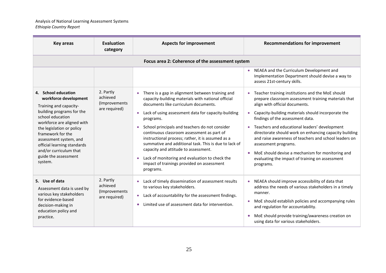| Key areas                                                                                                                                                                                                                                                                                                                     | Evaluation<br>category                                  | <b>Aspects for improvement</b>                                                                                                                                                                                                                                                                                                                                                                                                                                                                                                                                                                                    | <b>Recommendations for improvement</b>                                                                                                                                                                                                                                                                                                                                                                                                                                                                                                               |
|-------------------------------------------------------------------------------------------------------------------------------------------------------------------------------------------------------------------------------------------------------------------------------------------------------------------------------|---------------------------------------------------------|-------------------------------------------------------------------------------------------------------------------------------------------------------------------------------------------------------------------------------------------------------------------------------------------------------------------------------------------------------------------------------------------------------------------------------------------------------------------------------------------------------------------------------------------------------------------------------------------------------------------|------------------------------------------------------------------------------------------------------------------------------------------------------------------------------------------------------------------------------------------------------------------------------------------------------------------------------------------------------------------------------------------------------------------------------------------------------------------------------------------------------------------------------------------------------|
|                                                                                                                                                                                                                                                                                                                               |                                                         | Focus area 2: Coherence of the assessment system                                                                                                                                                                                                                                                                                                                                                                                                                                                                                                                                                                  |                                                                                                                                                                                                                                                                                                                                                                                                                                                                                                                                                      |
|                                                                                                                                                                                                                                                                                                                               |                                                         |                                                                                                                                                                                                                                                                                                                                                                                                                                                                                                                                                                                                                   | NEAEA and the Curriculum Development and<br>Implementation Department should devise a way to<br>assess 21st-century skills.                                                                                                                                                                                                                                                                                                                                                                                                                          |
| 4. School education<br>workforce development<br>Training and capacity-<br>building programs for the<br>school education<br>workforce are aligned with<br>the legislation or policy<br>framework for the<br>assessment system, and<br>official learning standards<br>and/or curriculum that<br>guide the assessment<br>system. | 2. Partly<br>achieved<br>(Improvements<br>are required) | There is a gap in alignment between training and<br>capacity-building materials with national official<br>documents like curriculum documents.<br>Lack of using assessment data for capacity-building<br>$\bullet$<br>programs.<br>• School principals and teachers do not consider<br>continuous classroom assessment as part of<br>instructional process; rather, it is assumed as a<br>summative and additional task. This is due to lack of<br>capacity and attitude to assessment.<br>Lack of monitoring and evaluation to check the<br>$\bullet$<br>impact of trainings provided on assessment<br>programs. | Teacher training institutions and the MoE should<br>prepare classroom assessment training materials that<br>align with official documents.<br>Capacity-building materials should incorporate the<br>findings of the assessment data.<br>Teachers and educational leaders' development<br>directorate should work on enhancing capacity building<br>and raise awareness of teachers and school leaders on<br>assessment programs.<br>MoE should devise a mechanism for monitoring and<br>evaluating the impact of training on assessment<br>programs. |
| 5. Use of data<br>Assessment data is used by<br>various key stakeholders<br>for evidence-based<br>decision-making in<br>education policy and<br>practice.                                                                                                                                                                     | 2. Partly<br>achieved<br>(Improvements<br>are required) | Lack of timely dissemination of assessment results<br>to various key stakeholders.<br>Lack of accountability for the assessment findings.<br>$\bullet$<br>Limited use of assessment data for intervention.<br>$\bullet$                                                                                                                                                                                                                                                                                                                                                                                           | NEAEA should improve accessibility of data that<br>$\bullet$<br>address the needs of various stakeholders in a timely<br>manner.<br>MoE should establish policies and accompanying rules<br>and regulation for accountability.<br>MoE should provide training/awareness creation on<br>using data for various stakeholders.                                                                                                                                                                                                                          |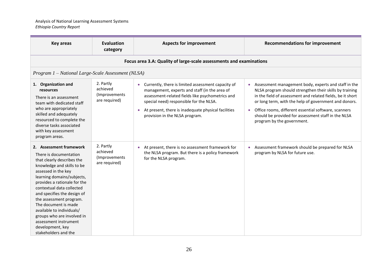| <b>Key areas</b>                                                                                                                                                                                                                                                                                                                                                                                                                                  | <b>Evaluation</b><br>category                           | <b>Aspects for improvement</b>                                                                                                                                                                                                                                                                                        | <b>Recommendations for improvement</b>                                                                                                                                                                                                                                                                                                                                                           |
|---------------------------------------------------------------------------------------------------------------------------------------------------------------------------------------------------------------------------------------------------------------------------------------------------------------------------------------------------------------------------------------------------------------------------------------------------|---------------------------------------------------------|-----------------------------------------------------------------------------------------------------------------------------------------------------------------------------------------------------------------------------------------------------------------------------------------------------------------------|--------------------------------------------------------------------------------------------------------------------------------------------------------------------------------------------------------------------------------------------------------------------------------------------------------------------------------------------------------------------------------------------------|
|                                                                                                                                                                                                                                                                                                                                                                                                                                                   |                                                         | Focus area 3.A: Quality of large-scale assessments and examinations                                                                                                                                                                                                                                                   |                                                                                                                                                                                                                                                                                                                                                                                                  |
| Program 1 - National Large-Scale Assessment (NLSA)                                                                                                                                                                                                                                                                                                                                                                                                |                                                         |                                                                                                                                                                                                                                                                                                                       |                                                                                                                                                                                                                                                                                                                                                                                                  |
| 1. Organization and<br>resources<br>There is an assessment<br>team with dedicated staff<br>who are appropriately<br>skilled and adequately<br>resourced to complete the<br>diverse tasks associated<br>with key assessment<br>program areas.                                                                                                                                                                                                      | 2. Partly<br>achieved<br>(Improvements<br>are required) | Currently, there is limited assessment capacity of<br>$\bullet$<br>management, experts and staff (in the area of<br>assessment-related fields like psychometrics and<br>special need) responsible for the NLSA.<br>At present, there is inadequate physical facilities<br>$\bullet$<br>provision in the NLSA program. | Assessment management body, experts and staff in the<br>$\bullet$<br>NLSA program should strengthen their skills by training<br>in the field of assessment and related fields, be it short<br>or long term, with the help of government and donors.<br>Office rooms, different essential software, scanners<br>should be provided for assessment staff in the NLSA<br>program by the government. |
| 2. Assessment framework<br>There is documentation<br>that clearly describes the<br>knowledge and skills to be<br>assessed in the key<br>learning domains/subjects,<br>provides a rationale for the<br>contextual data collected<br>and specifies the design of<br>the assessment program.<br>The document is made<br>available to individuals/<br>groups who are involved in<br>assessment instrument<br>development, key<br>stakeholders and the | 2. Partly<br>achieved<br>(Improvements<br>are required) | At present, there is no assessment framework for<br>$\bullet$<br>the NLSA program. But there is a policy framework<br>for the NLSA program.                                                                                                                                                                           | Assessment framework should be prepared for NLSA<br>program by NLSA for future use.                                                                                                                                                                                                                                                                                                              |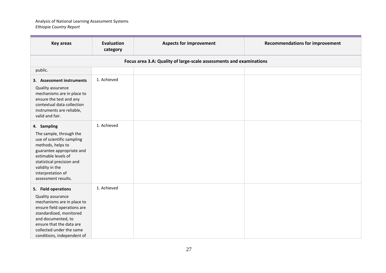| <b>Key areas</b>                                                                                                                                                                                                                             | <b>Evaluation</b><br>category | <b>Aspects for improvement</b>                                      | <b>Recommendations for improvement</b> |
|----------------------------------------------------------------------------------------------------------------------------------------------------------------------------------------------------------------------------------------------|-------------------------------|---------------------------------------------------------------------|----------------------------------------|
|                                                                                                                                                                                                                                              |                               | Focus area 3.A: Quality of large-scale assessments and examinations |                                        |
| public.                                                                                                                                                                                                                                      |                               |                                                                     |                                        |
| 3. Assessment instruments<br>Quality assurance<br>mechanisms are in place to<br>ensure the test and any<br>contextual data collection<br>instruments are reliable,<br>valid and fair.                                                        | 1. Achieved                   |                                                                     |                                        |
| 4. Sampling<br>The sample, through the<br>use of scientific sampling<br>methods, helps to<br>guarantee appropriate and<br>estimable levels of<br>statistical precision and<br>validity in the<br>interpretation of<br>assessment results.    | 1. Achieved                   |                                                                     |                                        |
| 5. Field operations<br>Quality assurance<br>mechanisms are in place to<br>ensure field operations are<br>standardized, monitored<br>and documented, to<br>ensure that the data are<br>collected under the same<br>conditions, independent of | 1. Achieved                   |                                                                     |                                        |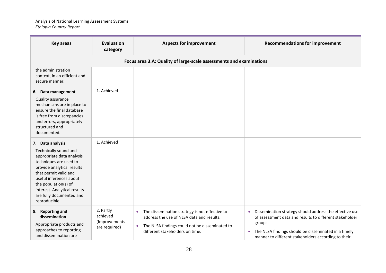| <b>Key areas</b>                                                                                                                                                                                                                                                                        | <b>Evaluation</b><br>category                            | <b>Aspects for improvement</b>                                                                                                                                                                             | <b>Recommendations for improvement</b>                                                                                                                                                                                                                                 |
|-----------------------------------------------------------------------------------------------------------------------------------------------------------------------------------------------------------------------------------------------------------------------------------------|----------------------------------------------------------|------------------------------------------------------------------------------------------------------------------------------------------------------------------------------------------------------------|------------------------------------------------------------------------------------------------------------------------------------------------------------------------------------------------------------------------------------------------------------------------|
|                                                                                                                                                                                                                                                                                         |                                                          | Focus area 3.A: Quality of large-scale assessments and examinations                                                                                                                                        |                                                                                                                                                                                                                                                                        |
| the administration<br>context, in an efficient and<br>secure manner.                                                                                                                                                                                                                    |                                                          |                                                                                                                                                                                                            |                                                                                                                                                                                                                                                                        |
| 6. Data management<br>Quality assurance<br>mechanisms are in place to<br>ensure the final database<br>is free from discrepancies<br>and errors, appropriately<br>structured and<br>documented.                                                                                          | 1. Achieved                                              |                                                                                                                                                                                                            |                                                                                                                                                                                                                                                                        |
| 7. Data analysis<br>Technically sound and<br>appropriate data analysis<br>techniques are used to<br>provide analytical results<br>that permit valid and<br>useful inferences about<br>the population(s) of<br>interest. Analytical results<br>are fully documented and<br>reproducible. | 1. Achieved                                              |                                                                                                                                                                                                            |                                                                                                                                                                                                                                                                        |
| 8. Reporting and<br>dissemination<br>Appropriate products and<br>approaches to reporting<br>and dissemination are                                                                                                                                                                       | 2. Partly<br>achieved<br>(Improvements)<br>are required) | The dissemination strategy is not effective to<br>$\bullet$<br>address the use of NLSA data and results.<br>The NLSA findings could not be disseminated to<br>$\bullet$<br>different stakeholders on time. | Dissemination strategy should address the effective use<br>$\bullet$<br>of assessment data and results to different stakeholder<br>groups.<br>The NLSA findings should be disseminated in a timely<br>$\bullet$<br>manner to different stakeholders according to their |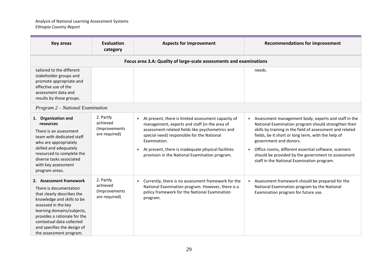| <b>Key areas</b>                                                                                                                                                                                                                                                                          | Evaluation<br>category                                   | <b>Aspects for improvement</b>                                                                                                                                                                                                                                                                                                                            | <b>Recommendations for improvement</b>                                                                                                                                                                                                                                                                                                                                                                                |
|-------------------------------------------------------------------------------------------------------------------------------------------------------------------------------------------------------------------------------------------------------------------------------------------|----------------------------------------------------------|-----------------------------------------------------------------------------------------------------------------------------------------------------------------------------------------------------------------------------------------------------------------------------------------------------------------------------------------------------------|-----------------------------------------------------------------------------------------------------------------------------------------------------------------------------------------------------------------------------------------------------------------------------------------------------------------------------------------------------------------------------------------------------------------------|
|                                                                                                                                                                                                                                                                                           |                                                          | Focus area 3.A: Quality of large-scale assessments and examinations                                                                                                                                                                                                                                                                                       |                                                                                                                                                                                                                                                                                                                                                                                                                       |
| tailored to the different<br>stakeholder groups and<br>promote appropriate and<br>effective use of the<br>assessment data and<br>results by those groups.                                                                                                                                 |                                                          |                                                                                                                                                                                                                                                                                                                                                           | needs.                                                                                                                                                                                                                                                                                                                                                                                                                |
| Program 2 – National Examination                                                                                                                                                                                                                                                          |                                                          |                                                                                                                                                                                                                                                                                                                                                           |                                                                                                                                                                                                                                                                                                                                                                                                                       |
| 1. Organization and<br>resources<br>There is an assessment<br>team with dedicated staff<br>who are appropriately<br>skilled and adequately<br>resourced to complete the<br>diverse tasks associated<br>with key assessment<br>program areas.                                              | 2. Partly<br>achieved<br>(Improvements)<br>are required) | At present, there is limited assessment capacity of<br>$\bullet$<br>management, experts and staff (in the area of<br>assessment-related fields like psychometrics and<br>special need) responsible for the National<br>Examination.<br>At present, there is inadequate physical facilities<br>$\bullet$<br>provision in the National Examination program. | Assessment management body, experts and staff in the<br>National Examination program should strengthen their<br>skills by training in the field of assessment and related<br>fields, be it short or long term, with the help of<br>government and donors.<br>Office rooms, different essential software, scanners<br>should be provided by the government to assessment<br>staff in the National Examination program. |
| 2. Assessment framework<br>There is documentation<br>that clearly describes the<br>knowledge and skills to be<br>assessed in the key<br>learning domains/subjects,<br>provides a rationale for the<br>contextual data collected<br>and specifies the design of<br>the assessment program. | 2. Partly<br>achieved<br>(Improvements<br>are required)  | Currently, there is no assessment framework for the<br>National Examination program. However, there is a<br>policy framework for the National Examination<br>program.                                                                                                                                                                                     | Assessment framework should be prepared for the<br>National Examination program by the National<br>Examination program for future use.                                                                                                                                                                                                                                                                                |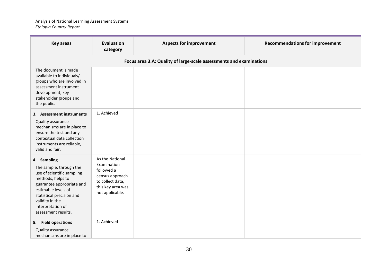| <b>Key areas</b>                                                                                                                                                                                                                          | <b>Evaluation</b><br>category                                                                                               | <b>Aspects for improvement</b>                                      | <b>Recommendations for improvement</b> |
|-------------------------------------------------------------------------------------------------------------------------------------------------------------------------------------------------------------------------------------------|-----------------------------------------------------------------------------------------------------------------------------|---------------------------------------------------------------------|----------------------------------------|
|                                                                                                                                                                                                                                           |                                                                                                                             | Focus area 3.A: Quality of large-scale assessments and examinations |                                        |
| The document is made<br>available to individuals/<br>groups who are involved in<br>assessment instrument<br>development, key<br>stakeholder groups and<br>the public.                                                                     |                                                                                                                             |                                                                     |                                        |
| 3. Assessment instruments<br>Quality assurance<br>mechanisms are in place to<br>ensure the test and any<br>contextual data collection<br>instruments are reliable,<br>valid and fair.                                                     | 1. Achieved                                                                                                                 |                                                                     |                                        |
| 4. Sampling<br>The sample, through the<br>use of scientific sampling<br>methods, helps to<br>guarantee appropriate and<br>estimable levels of<br>statistical precision and<br>validity in the<br>interpretation of<br>assessment results. | As the National<br>Examination<br>followed a<br>census approach<br>to collect data,<br>this key area was<br>not applicable. |                                                                     |                                        |
| 5. Field operations<br>Quality assurance<br>mechanisms are in place to                                                                                                                                                                    | 1. Achieved                                                                                                                 |                                                                     |                                        |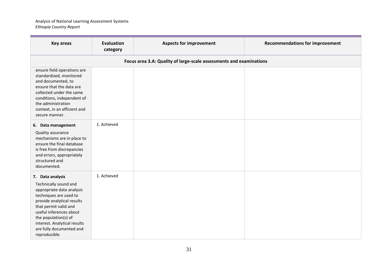| <b>Key areas</b>                                                                                                                                                                                                                                                                        | <b>Evaluation</b><br>category | <b>Aspects for improvement</b>                                      | <b>Recommendations for improvement</b> |
|-----------------------------------------------------------------------------------------------------------------------------------------------------------------------------------------------------------------------------------------------------------------------------------------|-------------------------------|---------------------------------------------------------------------|----------------------------------------|
|                                                                                                                                                                                                                                                                                         |                               | Focus area 3.A: Quality of large-scale assessments and examinations |                                        |
| ensure field operations are<br>standardized, monitored<br>and documented, to<br>ensure that the data are<br>collected under the same<br>conditions, independent of<br>the administration<br>context, in an efficient and<br>secure manner.                                              |                               |                                                                     |                                        |
| 6. Data management<br>Quality assurance<br>mechanisms are in place to<br>ensure the final database<br>is free from discrepancies<br>and errors, appropriately<br>structured and<br>documented.                                                                                          | 1. Achieved                   |                                                                     |                                        |
| 7. Data analysis<br>Technically sound and<br>appropriate data analysis<br>techniques are used to<br>provide analytical results<br>that permit valid and<br>useful inferences about<br>the population(s) of<br>interest. Analytical results<br>are fully documented and<br>reproducible. | 1. Achieved                   |                                                                     |                                        |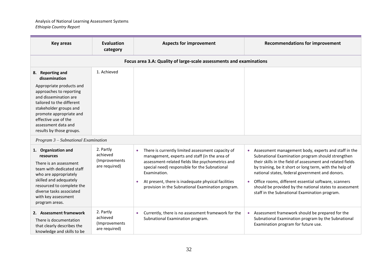| <b>Key areas</b>                                                                                                                                                                                                                                                               | <b>Evaluation</b><br>category                           | <b>Aspects for improvement</b>                                                                                                                                                                                                                                                                                                                   | <b>Recommendations for improvement</b>                                                                                                                                                                                                                                                                                                                                                                                                                                 |
|--------------------------------------------------------------------------------------------------------------------------------------------------------------------------------------------------------------------------------------------------------------------------------|---------------------------------------------------------|--------------------------------------------------------------------------------------------------------------------------------------------------------------------------------------------------------------------------------------------------------------------------------------------------------------------------------------------------|------------------------------------------------------------------------------------------------------------------------------------------------------------------------------------------------------------------------------------------------------------------------------------------------------------------------------------------------------------------------------------------------------------------------------------------------------------------------|
|                                                                                                                                                                                                                                                                                |                                                         | Focus area 3.A: Quality of large-scale assessments and examinations                                                                                                                                                                                                                                                                              |                                                                                                                                                                                                                                                                                                                                                                                                                                                                        |
| 8. Reporting and<br>dissemination<br>Appropriate products and<br>approaches to reporting<br>and dissemination are<br>tailored to the different<br>stakeholder groups and<br>promote appropriate and<br>effective use of the<br>assessment data and<br>results by those groups. | 1. Achieved                                             |                                                                                                                                                                                                                                                                                                                                                  |                                                                                                                                                                                                                                                                                                                                                                                                                                                                        |
| Program 3 - Subnational Examination                                                                                                                                                                                                                                            |                                                         |                                                                                                                                                                                                                                                                                                                                                  |                                                                                                                                                                                                                                                                                                                                                                                                                                                                        |
| 1. Organization and<br>resources<br>There is an assessment<br>team with dedicated staff<br>who are appropriately<br>skilled and adequately<br>resourced to complete the<br>diverse tasks associated<br>with key assessment<br>program areas.                                   | 2. Partly<br>achieved<br>(Improvements<br>are required) | There is currently limited assessment capacity of<br>$\bullet$<br>management, experts and staff (in the area of<br>assessment-related fields like psychometrics and<br>special need) responsible for the Subnational<br>Examination.<br>At present, there is inadequate physical facilities<br>provision in the Subnational Examination program. | Assessment management body, experts and staff in the<br>$\bullet$<br>Subnational Examination program should strengthen<br>their skills in the field of assessment and related fields<br>by training, be it short or long term, with the help of<br>national states, federal government and donors.<br>Office rooms, different essential software, scanners<br>should be provided by the national states to assessment<br>staff in the Subnational Examination program. |
| 2. Assessment framework<br>There is documentation<br>that clearly describes the<br>knowledge and skills to be                                                                                                                                                                  | 2. Partly<br>achieved<br>(Improvements<br>are required) | Currently, there is no assessment framework for the<br>$\bullet$<br>Subnational Examination program.                                                                                                                                                                                                                                             | Assessment framework should be prepared for the<br>Subnational Examination program by the Subnational<br>Examination program for future use.                                                                                                                                                                                                                                                                                                                           |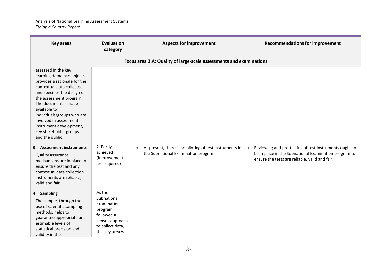| <b>Key areas</b>                                                                                                                                                                                                                                                                                                                                 | <b>Evaluation</b><br>category                                                                                             | <b>Aspects for improvement</b>                                                                               | <b>Recommendations for improvement</b>                                                                                                                                         |
|--------------------------------------------------------------------------------------------------------------------------------------------------------------------------------------------------------------------------------------------------------------------------------------------------------------------------------------------------|---------------------------------------------------------------------------------------------------------------------------|--------------------------------------------------------------------------------------------------------------|--------------------------------------------------------------------------------------------------------------------------------------------------------------------------------|
|                                                                                                                                                                                                                                                                                                                                                  |                                                                                                                           | Focus area 3.A: Quality of large-scale assessments and examinations                                          |                                                                                                                                                                                |
| assessed in the key<br>learning domains/subjects,<br>provides a rationale for the<br>contextual data collected<br>and specifies the design of<br>the assessment program.<br>The document is made<br>available to<br>individuals/groups who are<br>involved in assessment<br>instrument development,<br>key stakeholder groups<br>and the public. |                                                                                                                           |                                                                                                              |                                                                                                                                                                                |
| 3. Assessment instruments<br>Quality assurance<br>mechanisms are in place to<br>ensure the test and any<br>contextual data collection<br>instruments are reliable,<br>valid and fair.                                                                                                                                                            | 2. Partly<br>achieved<br>(Improvements<br>are required)                                                                   | At present, there is no piloting of test instruments in<br>$\bullet$<br>the Subnational Examination program. | Reviewing and pre-testing of test instruments ought to<br>$\bullet$<br>be in place in the Subnational Examination program to<br>ensure the tests are reliable, valid and fair. |
| 4. Sampling<br>The sample, through the<br>use of scientific sampling<br>methods, helps to<br>guarantee appropriate and<br>estimable levels of<br>statistical precision and<br>validity in the                                                                                                                                                    | As the<br>Subnational<br>Examination<br>program<br>followed a<br>census approach<br>to collect data,<br>this key area was |                                                                                                              |                                                                                                                                                                                |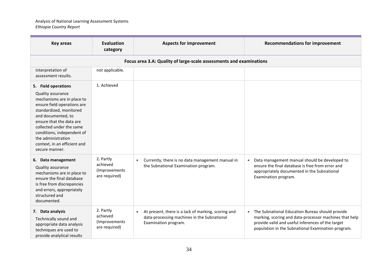| <b>Key areas</b>                                                                                                                                                                                                                                                                                                     | <b>Evaluation</b><br>category                            | <b>Aspects for improvement</b>                                                                                                          | <b>Recommendations for improvement</b>                                                                                                                                                                                            |
|----------------------------------------------------------------------------------------------------------------------------------------------------------------------------------------------------------------------------------------------------------------------------------------------------------------------|----------------------------------------------------------|-----------------------------------------------------------------------------------------------------------------------------------------|-----------------------------------------------------------------------------------------------------------------------------------------------------------------------------------------------------------------------------------|
|                                                                                                                                                                                                                                                                                                                      |                                                          | Focus area 3.A: Quality of large-scale assessments and examinations                                                                     |                                                                                                                                                                                                                                   |
| interpretation of<br>assessment results.                                                                                                                                                                                                                                                                             | not applicable.                                          |                                                                                                                                         |                                                                                                                                                                                                                                   |
| 5. Field operations<br>Quality assurance<br>mechanisms are in place to<br>ensure field operations are<br>standardized, monitored<br>and documented, to<br>ensure that the data are<br>collected under the same<br>conditions, independent of<br>the administration<br>context, in an efficient and<br>secure manner. | 1. Achieved                                              |                                                                                                                                         |                                                                                                                                                                                                                                   |
| 6. Data management<br>Quality assurance<br>mechanisms are in place to<br>ensure the final database<br>is free from discrepancies<br>and errors, appropriately<br>structured and<br>documented.                                                                                                                       | 2. Partly<br>achieved<br>(Improvements)<br>are required) | Currently, there is no data management manual in<br>$\bullet$<br>the Subnational Examination program.                                   | Data management manual should be developed to<br>$\bullet$<br>ensure the final database is free from error and<br>appropriately documented in the Subnational<br>Examination program.                                             |
| 7. Data analysis<br>Technically sound and<br>appropriate data analysis<br>techniques are used to<br>provide analytical results                                                                                                                                                                                       | 2. Partly<br>achieved<br>(Improvements<br>are required)  | At present, there is a lack of marking, scoring and<br>$\bullet$<br>data-processing machines in the Subnational<br>Examination program. | The Subnational Education Bureau should provide<br>$\bullet$<br>marking, scoring and data-processor machines that help<br>provide valid and useful inferences of the target<br>population in the Subnational Examination program. |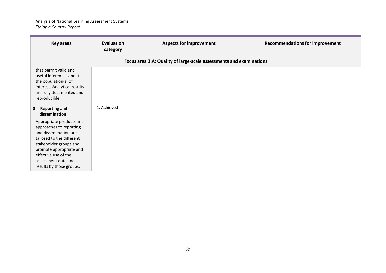| <b>Key areas</b>                                                                                                                                                                                                                                                               | Evaluation<br>category                                              | <b>Aspects for improvement</b> | <b>Recommendations for improvement</b> |  |
|--------------------------------------------------------------------------------------------------------------------------------------------------------------------------------------------------------------------------------------------------------------------------------|---------------------------------------------------------------------|--------------------------------|----------------------------------------|--|
|                                                                                                                                                                                                                                                                                | Focus area 3.A: Quality of large-scale assessments and examinations |                                |                                        |  |
| that permit valid and<br>useful inferences about<br>the population(s) of<br>interest. Analytical results<br>are fully documented and<br>reproducible.                                                                                                                          |                                                                     |                                |                                        |  |
| 8. Reporting and<br>dissemination<br>Appropriate products and<br>approaches to reporting<br>and dissemination are<br>tailored to the different<br>stakeholder groups and<br>promote appropriate and<br>effective use of the<br>assessment data and<br>results by those groups. | 1. Achieved                                                         |                                |                                        |  |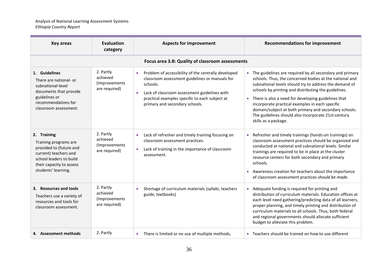| <b>Key areas</b>                                                                                                                                                       | <b>Evaluation</b><br>category                           | <b>Aspects for improvement</b>                                                                                                                                                                                                                                     | <b>Recommendations for improvement</b>                                                                                                                                                                                                                                                                                                                                                                                                                                                  |  |  |  |
|------------------------------------------------------------------------------------------------------------------------------------------------------------------------|---------------------------------------------------------|--------------------------------------------------------------------------------------------------------------------------------------------------------------------------------------------------------------------------------------------------------------------|-----------------------------------------------------------------------------------------------------------------------------------------------------------------------------------------------------------------------------------------------------------------------------------------------------------------------------------------------------------------------------------------------------------------------------------------------------------------------------------------|--|--|--|
|                                                                                                                                                                        | Focus area 3.B: Quality of classroom assessments        |                                                                                                                                                                                                                                                                    |                                                                                                                                                                                                                                                                                                                                                                                                                                                                                         |  |  |  |
| 1. Guidelines<br>There are national- or<br>subnational-level<br>documents that provide<br>guidelines or<br>recommendations for<br>classroom assessment.                | 2. Partly<br>achieved<br>(Improvements<br>are required) | Problem of accessibility of the centrally developed<br>$\bullet$<br>classroom assessment guidelines or manuals for<br>schools.<br>Lack of classroom assessment guidelines with<br>practical examples specific to each subject at<br>primary and secondary schools. | The guidelines are required by all secondary and primary<br>schools. Thus, the concerned bodies at the national and<br>subnational levels should try to address the demand of<br>schools by printing and distributing the guidelines.<br>There is also a need for developing guidelines that<br>incorporate practical examples in each specific<br>domain/subject at both primary and secondary schools.<br>The guidelines should also incorporate 21st-century<br>skills as a package. |  |  |  |
| 2. Training<br>Training programs are<br>provided to (future and<br>current) teachers and<br>school leaders to build<br>their capacity to assess<br>students' learning. | 2. Partly<br>achieved<br>(Improvements<br>are required) | Lack of refresher and timely training focusing on<br>$\bullet$<br>classroom assessment practices.<br>Lack of training in the importance of classroom<br>$\bullet$<br>assessment.                                                                                   | Refresher and timely trainings (hands-on trainings) on<br>classroom assessment practices should be organized and<br>conducted at national and subnational levels. Similar<br>trainings are required to be in place at the cluster<br>resource centers for both secondary and primary<br>schools.<br>Awareness creation for teachers about the importance<br>of classroom assessment practices should be made.                                                                           |  |  |  |
| 3. Resources and tools<br>Teachers use a variety of<br>resources and tools for<br>classroom assessment.                                                                | 2. Partly<br>achieved<br>(Improvements<br>are required) | Shortage of curriculum materials (syllabi, teachers<br>guide, textbooks)                                                                                                                                                                                           | Adequate funding is required for printing and<br>distribution of curriculum materials. Education offices at<br>each level need gathering/predicting data of all learners,<br>proper planning, and timely printing and distribution of<br>curriculum materials to all schools. Thus, both federal<br>and regional governments should allocate sufficient<br>budget to alleviate this problem.                                                                                            |  |  |  |
| 4. Assessment methods                                                                                                                                                  | 2. Partly                                               | There is limited or no use of multiple methods,<br>$\bullet$                                                                                                                                                                                                       | Teachers should be trained on how to use different                                                                                                                                                                                                                                                                                                                                                                                                                                      |  |  |  |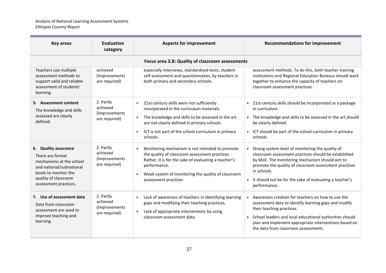| <b>Key areas</b>                                                                                                                                                           | <b>Evaluation</b><br>category                            | <b>Aspects for improvement</b>                                                                                                                                                                                                                                                                        | <b>Recommendations for improvement</b>                                                                                                                                                                                                                                                                                     |  |  |  |
|----------------------------------------------------------------------------------------------------------------------------------------------------------------------------|----------------------------------------------------------|-------------------------------------------------------------------------------------------------------------------------------------------------------------------------------------------------------------------------------------------------------------------------------------------------------|----------------------------------------------------------------------------------------------------------------------------------------------------------------------------------------------------------------------------------------------------------------------------------------------------------------------------|--|--|--|
|                                                                                                                                                                            | Focus area 3.B: Quality of classroom assessments         |                                                                                                                                                                                                                                                                                                       |                                                                                                                                                                                                                                                                                                                            |  |  |  |
| Teachers use multiple<br>assessment methods to<br>support valid and reliable<br>assessment of students'<br>learning.                                                       | achieved<br>(Improvements<br>are required)               | especially interviews, standardized tests, student<br>self-assessment and questionnaires, by teachers in<br>both primary and secondary schools.                                                                                                                                                       | assessment methods. To do this, both teacher training<br>institutions and Regional Education Bureaus should work<br>together to enhance the capacity of teachers on<br>classroom assessment practices.                                                                                                                     |  |  |  |
| 5. Assessment content<br>The knowledge and skills<br>assessed are clearly<br>defined.                                                                                      | 2. Partly<br>achieved<br>(Improvements)<br>are required) | 21st-century skills were not sufficiently<br>$\bullet$<br>incorporated in the curriculum materials.<br>The knowledge and skills to be assessed in the art<br>$\bullet$<br>are not clearly defined in primary schools.<br>ICT is not part of the school curriculum in primary<br>$\bullet$<br>schools. | 21st-century skills should be incorporated as a package<br>$\bullet$<br>in curriculum.<br>• The knowledge and skills to be assessed in the art should<br>be clearly defined.<br>ICT should be part of the school curriculum in primary<br>schools.                                                                         |  |  |  |
| 6. Quality assurance<br>There are formal<br>mechanisms at the school<br>and national/subnational<br>levels to monitor the<br>quality of classroom<br>assessment practices. | 2. Partly<br>achieved<br>(Improvements<br>are required)  | Monitoring mechanism is not intended to promote<br>$\bullet$<br>the quality of classroom assessment practices.<br>Rather, it is for the sake of evaluating a teacher's<br>performance.<br>Weak system of monitoring the quality of classroom<br>$\bullet$<br>assessment practices                     | Strong system level of monitoring the quality of<br>classroom assessment practices should be established<br>by MoE. The monitoring mechanism should aim to<br>promote the quality of classroom assessment practices<br>in schools.<br>It should not be for the sake of evaluating a teacher's<br>$\bullet$<br>performance. |  |  |  |
| 7. Use of assessment data<br>Data from classroom<br>assessment are used to<br>improve teaching and<br>learning.                                                            | 2. Partly<br>achieved<br>(Improvements<br>are required)  | Lack of awareness of teachers in identifying learning<br>$\bullet$<br>gaps and modifying their teaching practices.<br>Lack of appropriate interventions by using<br>$\bullet$<br>classroom assessment data.                                                                                           | Awareness creation for teachers on how to use the<br>assessment data to identify learning gaps and modify<br>their teaching practices.<br>School leaders and local educational authorities should<br>plan and implement appropriate interventions based on<br>the data from classroom assessments.                         |  |  |  |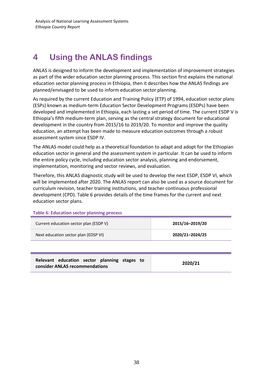# <span id="page-38-0"></span>**4 Using the ANLAS findings**

ANLAS is designed to inform the development and implementation of improvement strategies as part of the wider education sector planning process. This section first explains the national education sector planning process in Ethiopia, then it describes how the ANLAS findings are planned/envisaged to be used to inform education sector planning.

As required by the current Education and Training Policy (ETP) of 1994, education sector plans (ESPs) known as medium-term Education Sector Development Programs (ESDPs) have been developed and implemented in Ethiopia, each lasting a set period of time. The current ESDP V is Ethiopia's fifth medium-term plan, serving as the central strategy document for educational development in the country from 2015/16 to 2019/20. To monitor and improve the quality education, an attempt has been made to measure education outcomes through a robust assessment system since ESDP IV.

The ANLAS model could help as a theoretical foundation to adapt and adopt for the Ethiopian education sector in general and the assessment system in particular. It can be used to inform the entire policy cycle, including education sector analysis, planning and endorsement, implementation, monitoring and sector reviews, and evaluation.

Therefore, this ANLAS diagnostic study will be used to develop the next ESDP, ESDP VI, which will be implemented after 2020. The ANLAS report can also be used as a source document for curriculum revision, teacher training institutions, and teacher continuous professional development (CPD). Table 6 provides details of the time frames for the current and next education sector plans.

**Table 6: Education sector planning process**

| Current education sector plan (ESDP V) | 2015/16-2019/20 |
|----------------------------------------|-----------------|
| Next education sector plan (EDSP VI)   | 2020/21-2024/25 |
|                                        |                 |

| Relevant education sector planning stages to | 2020/21 |
|----------------------------------------------|---------|
| consider ANLAS recommendations               |         |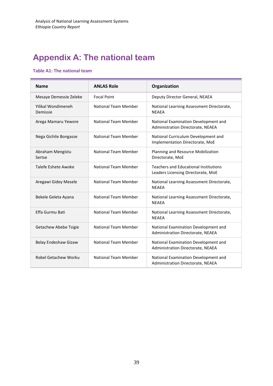# <span id="page-39-0"></span>**Appendix A: The national team**

#### **Table A1: The national team**

| <b>Name</b>                    | <b>ANLAS Role</b>           | Organization                                                                       |
|--------------------------------|-----------------------------|------------------------------------------------------------------------------------|
| Mesaye Demessie Zeleke         | <b>Focal Point</b>          | Deputy Director General, NEAEA                                                     |
| Yilikal Wondimeneh<br>Demissie | National Team Member        | National Learning Assessment Directorate,<br><b>NEAEA</b>                          |
| Arega Mamaru Yewore            | <b>National Team Member</b> | National Examination Development and<br>Administration Directorate, NEAEA          |
| Nega Gichile Bongasse          | <b>National Team Member</b> | National Curriculum Development and<br>Implementation Directorate, MoE             |
| Abraham Mengistu<br>Sertse     | <b>National Team Member</b> | Planning and Resource Mobilization<br>Directorate, MoE                             |
| Talefe Eshete Awoke            | National Team Member        | <b>Teachers and Educational Institutions</b><br>Leaders Licensing Directorate, MoE |
| Aregawi Gidey Mesele           | <b>National Team Member</b> | National Learning Assessment Directorate,<br><b>NEAEA</b>                          |
| Bekele Geleta Ayana            | <b>National Team Member</b> | National Learning Assessment Directorate,<br><b>NEAEA</b>                          |
| Effa Gurmu Bati                | <b>National Team Member</b> | National Learning Assessment Directorate,<br><b>NEAEA</b>                          |
| Getachew Abebe Tsigie          | <b>National Team Member</b> | National Examination Development and<br>Administration Directorate, NEAEA          |
| Belay Endeshaw Gizaw           | <b>National Team Member</b> | National Examination Development and<br>Administration Directorate, NEAEA          |
| Robel Getachew Worku           | <b>National Team Member</b> | National Examination Development and<br>Administration Directorate, NEAEA          |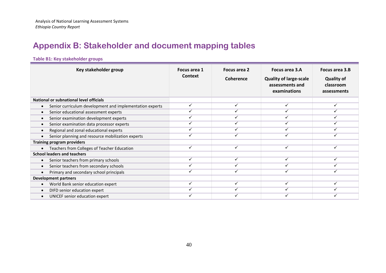# **Appendix B: Stakeholder and document mapping tables**

## **Table B1: Key stakeholder groups**

<span id="page-40-0"></span>

| Key stakeholder group                                    | Focus area 1<br><b>Context</b> | Focus area 2<br><b>Coherence</b> | Focus area 3.A<br><b>Quality of large-scale</b><br>assessments and<br>examinations | Focus area 3.B<br><b>Quality of</b><br>classroom<br>assessments |
|----------------------------------------------------------|--------------------------------|----------------------------------|------------------------------------------------------------------------------------|-----------------------------------------------------------------|
| National or subnational level officials                  |                                |                                  |                                                                                    |                                                                 |
| Senior curriculum development and implementation experts | $\checkmark$                   |                                  | ✓                                                                                  |                                                                 |
| Senior educational assessment experts<br>$\bullet$       | ✓                              |                                  | ✓                                                                                  |                                                                 |
| Senior examination development experts<br>$\bullet$      | $\checkmark$                   |                                  | ✓                                                                                  |                                                                 |
| Senior examination data processor experts                | ✓                              |                                  | ✓                                                                                  |                                                                 |
| Regional and zonal educational experts<br>$\bullet$      | ✓                              |                                  | ✓                                                                                  |                                                                 |
| Senior planning and resource mobilization experts        | $\checkmark$                   |                                  | $\checkmark$                                                                       | $\checkmark$                                                    |
| <b>Training program providers</b>                        |                                |                                  |                                                                                    |                                                                 |
| Teachers from Colleges of Teacher Education              | $\checkmark$                   | $\cdot$                          | ✓                                                                                  | ✓                                                               |
| <b>School leaders and teachers</b>                       |                                |                                  |                                                                                    |                                                                 |
| Senior teachers from primary schools                     | ✓                              |                                  | ✓                                                                                  |                                                                 |
| Senior teachers from secondary schools<br>$\bullet$      | ✓                              |                                  | ✓                                                                                  |                                                                 |
| Primary and secondary school principals                  | ✓                              |                                  | ✓                                                                                  |                                                                 |
| <b>Development partners</b>                              |                                |                                  |                                                                                    |                                                                 |
| World Bank senior education expert                       | ✓                              | ✓                                | $\checkmark$                                                                       | ✓                                                               |
| DIFD senior education expert<br>$\bullet$                | ✓                              |                                  | ✓                                                                                  |                                                                 |
| UNICEF senior education expert                           |                                |                                  |                                                                                    |                                                                 |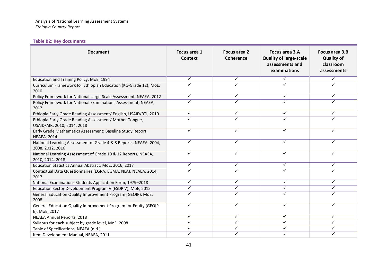#### **Table B2: Key documents**

| <b>Document</b>                                                                        | Focus area 1<br>Context | <b>Focus area 2</b><br>Coherence | <b>Focus area 3.A</b><br><b>Quality of large-scale</b><br>assessments and<br>examinations | Focus area 3.B<br><b>Quality of</b><br>classroom<br>assessments |
|----------------------------------------------------------------------------------------|-------------------------|----------------------------------|-------------------------------------------------------------------------------------------|-----------------------------------------------------------------|
| Education and Training Policy, MoE, 1994                                               | ✓                       | ✓                                | $\checkmark$                                                                              |                                                                 |
| Curriculum Framework for Ethiopian Education (KG-Grade 12), MoE,<br>2010               | ✓                       |                                  | ✓                                                                                         |                                                                 |
| Policy Framework for National Large-Scale Assessment, NEAEA, 2012                      | ✓                       | ✓                                | $\checkmark$                                                                              |                                                                 |
| Policy Framework for National Examinations Assessment, NEAEA,<br>2012                  | ✓                       |                                  |                                                                                           |                                                                 |
| Ethiopia Early Grade Reading Assessment/ English, USAID/RTI, 2010                      | ✓                       | ✓                                | ✓                                                                                         | ✓                                                               |
| Ethiopia Early Grade Reading Assessment/ Mother Tongue,<br>USAID/AIR, 2010, 2014, 2018 | ✓                       | ✓                                | ✓                                                                                         |                                                                 |
| Early Grade Mathematics Assessment: Baseline Study Report,<br><b>NEAEA, 2014</b>       | ✓                       | ✓                                | ✓                                                                                         |                                                                 |
| National Learning Assessment of Grade 4 & 8 Reports, NEAEA, 2004,<br>2008, 2012, 2016  | ✓                       | ✓                                | $\checkmark$                                                                              | ✓                                                               |
| National Learning Assessment of Grade 10 & 12 Reports, NEAEA,<br>2010, 2014, 2018      | ✓                       | ✓                                | $\checkmark$                                                                              | ✓                                                               |
| Education Statistics Annual Abstract, MoE, 2016, 2017                                  | ✓                       | ✓                                | $\checkmark$                                                                              | $\checkmark$                                                    |
| Contextual Data Questionnaires (EGRA, EGMA, NLA), NEAEA, 2014,<br>2017                 | ✓                       | ✓                                | ✓                                                                                         |                                                                 |
| National Examinations Students Application Form, 1979-2018                             | ✓                       | ✓                                | ✓                                                                                         | ✓                                                               |
| Education Sector Development Program V (ESDP V), MoE, 2015                             | ✓                       | ✓                                | $\checkmark$                                                                              | ✓                                                               |
| General Education Quality Improvement Program (GEQIP), MoE,<br>2008                    | ✓                       | ✓                                | ✓                                                                                         |                                                                 |
| General Education Quality Improvement Program for Equity (GEQIP-<br>E), MoE, 2017      | ✓                       | ✓                                | ✓                                                                                         | ✓                                                               |
| NEAEA Annual Reports, 2018                                                             | ✓                       | ✓                                | $\checkmark$                                                                              | ✓                                                               |
| Syllabus for each subject by grade level, MoE, 2008                                    | ✓                       | ✓                                | $\checkmark$                                                                              | ✓                                                               |
| Table of Specifications, NEAEA (n.d.)                                                  | ✓                       | ✓                                | ✓                                                                                         | ✓                                                               |
| Item Development Manual, NEAEA, 2011                                                   | ✓                       | ✓                                | $\checkmark$                                                                              | ✓                                                               |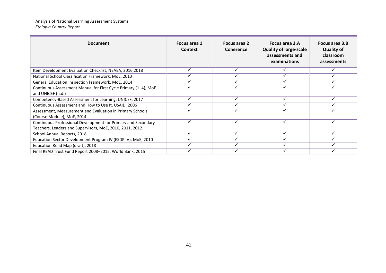| <b>Document</b>                                                                                                           | Focus area 1<br>Context | Focus area 2<br>Coherence | Focus area 3.A<br><b>Quality of large-scale</b><br>assessments and<br>examinations | Focus area 3.B<br><b>Quality of</b><br>classroom<br>assessments |
|---------------------------------------------------------------------------------------------------------------------------|-------------------------|---------------------------|------------------------------------------------------------------------------------|-----------------------------------------------------------------|
| Item Development Evaluation Checklist, NEAEA, 2016,2018                                                                   | ✓                       |                           |                                                                                    |                                                                 |
| National School Classification Framework, MoE, 2013                                                                       |                         |                           |                                                                                    |                                                                 |
| General Education Inspection Framework, MoE, 2014                                                                         |                         |                           |                                                                                    |                                                                 |
| Continuous Assessment Manual for First Cycle Primary (1-4), MoE<br>and UNICEF (n.d.)                                      |                         |                           |                                                                                    |                                                                 |
| Competency-Based Assessment for Learning, UNICEF, 2017                                                                    |                         |                           |                                                                                    |                                                                 |
| Continuous Assessment and How to Use It, USAID, 2006                                                                      |                         |                           |                                                                                    |                                                                 |
| Assessment, Measurement and Evaluation in Primary Schools<br>(Course Module), MoE, 2014                                   |                         |                           |                                                                                    |                                                                 |
| Continuous Professional Development for Primary and Secondary<br>Teachers, Leaders and Supervisors, MoE, 2010, 2011, 2012 | $\checkmark$            |                           | ✓                                                                                  |                                                                 |
| School Annual Reports, 2018                                                                                               |                         |                           |                                                                                    |                                                                 |
| Education Sector Development Program IV (ESDP IV), MoE, 2010                                                              |                         |                           |                                                                                    |                                                                 |
| Education Road Map (draft), 2018                                                                                          |                         |                           |                                                                                    |                                                                 |
| Final READ Trust Fund Report 2008-2015, World Bank, 2015                                                                  |                         |                           |                                                                                    |                                                                 |